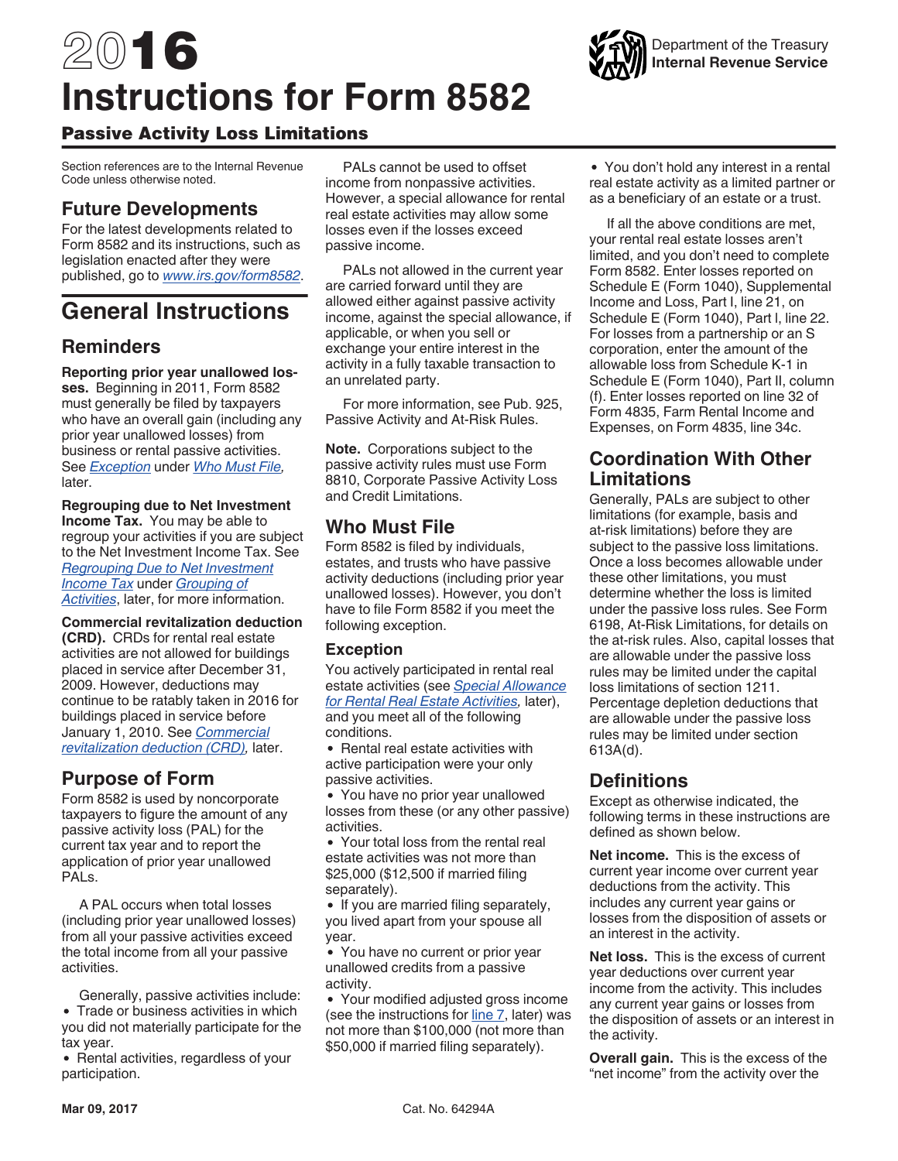# <span id="page-0-0"></span>2016 **Instructions for Form 8582**



Section references are to the Internal Revenue Code unless otherwise noted.

# **Future Developments**

For the latest developments related to Form 8582 and its instructions, such as legislation enacted after they were published, go to *[www.irs.gov/form8582](https://www.irs.gov/form8582)*.

# **General Instructions**

# **Reminders**

**Reporting prior year unallowed losses.** Beginning in 2011, Form 8582 must generally be filed by taxpayers who have an overall gain (including any prior year unallowed losses) from business or rental passive activities. See *Exception* under *Who Must File,*  later.

**Regrouping due to Net Investment Income Tax.** You may be able to regroup your activities if you are subject to the Net Investment Income Tax. See *[Regrouping Due to Net Investment](#page-4-0) [Income Tax](#page-4-0)* under *[Grouping of](#page-4-0) [Activities](#page-4-0)*, later, for more information.

**Commercial revitalization deduction (CRD).** CRDs for rental real estate activities are not allowed for buildings placed in service after December 31, 2009. However, deductions may continue to be ratably taken in 2016 for buildings placed in service before January 1, 2010. See *[Commercial](#page-3-0)  [revitalization deduction \(CRD\)](#page-3-0),* later.

# **Purpose of Form**

Form 8582 is used by noncorporate taxpayers to figure the amount of any passive activity loss (PAL) for the current tax year and to report the application of prior year unallowed PALs.

A PAL occurs when total losses (including prior year unallowed losses) from all your passive activities exceed the total income from all your passive activities.

Generally, passive activities include: • Trade or business activities in which you did not materially participate for the tax year.

• Rental activities, regardless of your participation.

PALs cannot be used to offset income from nonpassive activities. However, a special allowance for rental real estate activities may allow some losses even if the losses exceed passive income.

PALs not allowed in the current year are carried forward until they are allowed either against passive activity income, against the special allowance, if applicable, or when you sell or exchange your entire interest in the activity in a fully taxable transaction to an unrelated party.

For more information, see Pub. 925, Passive Activity and At-Risk Rules.

**Note.** Corporations subject to the passive activity rules must use Form 8810, Corporate Passive Activity Loss and Credit Limitations.

# **Who Must File**

Form 8582 is filed by individuals, estates, and trusts who have passive activity deductions (including prior year unallowed losses). However, you don't have to file Form 8582 if you meet the following exception.

## **Exception**

You actively participated in rental real estate activities (see *[Special Allowance](#page-2-0) [for Rental Real Estate Activities](#page-2-0),* later), and you meet all of the following conditions.

• Rental real estate activities with active participation were your only passive activities.

You have no prior year unallowed losses from these (or any other passive) activities.

Your total loss from the rental real estate activities was not more than \$25,000 (\$12,500 if married filing separately).

• If you are married filing separately, you lived apart from your spouse all year.

You have no current or prior year unallowed credits from a passive activity.

Your modified adjusted gross income (see the instructions for [line 7](#page-8-0), later) was not more than \$100,000 (not more than \$50,000 if married filing separately).

You don't hold any interest in a rental real estate activity as a limited partner or as a beneficiary of an estate or a trust.

If all the above conditions are met, your rental real estate losses aren't limited, and you don't need to complete Form 8582. Enter losses reported on Schedule E (Form 1040), Supplemental Income and Loss, Part I, line 21, on Schedule E (Form 1040), Part l, line 22. For losses from a partnership or an S corporation, enter the amount of the allowable loss from Schedule K-1 in Schedule E (Form 1040), Part II, column (f). Enter losses reported on line 32 of Form 4835, Farm Rental Income and Expenses, on Form 4835, line 34c.

# **Coordination With Other Limitations**

Generally, PALs are subject to other limitations (for example, basis and at-risk limitations) before they are subject to the passive loss limitations. Once a loss becomes allowable under these other limitations, you must determine whether the loss is limited under the passive loss rules. See Form 6198, At-Risk Limitations, for details on the at-risk rules. Also, capital losses that are allowable under the passive loss rules may be limited under the capital loss limitations of section 1211. Percentage depletion deductions that are allowable under the passive loss rules may be limited under section 613A(d).

# **Definitions**

Except as otherwise indicated, the following terms in these instructions are defined as shown below.

**Net income.** This is the excess of current year income over current year deductions from the activity. This includes any current year gains or losses from the disposition of assets or an interest in the activity.

**Net loss.** This is the excess of current year deductions over current year income from the activity. This includes any current year gains or losses from the disposition of assets or an interest in the activity.

**Overall gain.** This is the excess of the "net income" from the activity over the

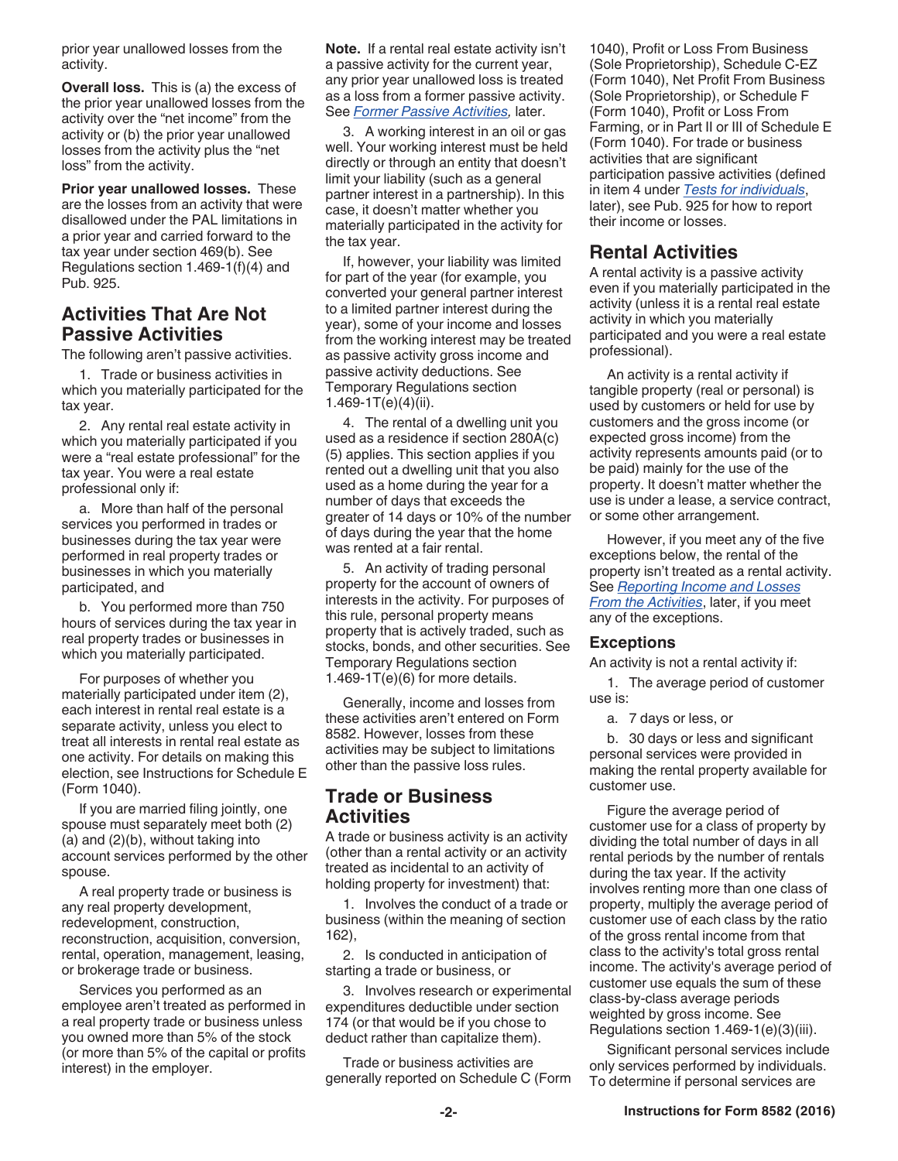<span id="page-1-0"></span>prior year unallowed losses from the activity.

**Overall loss.** This is (a) the excess of the prior year unallowed losses from the activity over the "net income" from the activity or (b) the prior year unallowed losses from the activity plus the "net loss" from the activity.

**Prior year unallowed losses.** These are the losses from an activity that were disallowed under the PAL limitations in a prior year and carried forward to the tax year under section 469(b). See Regulations section 1.469-1(f)(4) and Pub. 925.

## **Activities That Are Not Passive Activities**

The following aren't passive activities.

1. Trade or business activities in which you materially participated for the tax year.

2. Any rental real estate activity in which you materially participated if you were a "real estate professional" for the tax year. You were a real estate professional only if:

a. More than half of the personal services you performed in trades or businesses during the tax year were performed in real property trades or businesses in which you materially participated, and

b. You performed more than 750 hours of services during the tax year in real property trades or businesses in which you materially participated.

For purposes of whether you materially participated under item (2), each interest in rental real estate is a separate activity, unless you elect to treat all interests in rental real estate as one activity. For details on making this election, see Instructions for Schedule E (Form 1040).

If you are married filing jointly, one spouse must separately meet both (2) (a) and (2)(b), without taking into account services performed by the other spouse.

A real property trade or business is any real property development, redevelopment, construction, reconstruction, acquisition, conversion, rental, operation, management, leasing, or brokerage trade or business.

Services you performed as an employee aren't treated as performed in a real property trade or business unless you owned more than 5% of the stock (or more than 5% of the capital or profits interest) in the employer.

**Note.** If a rental real estate activity isn't a passive activity for the current year, any prior year unallowed loss is treated as a loss from a former passive activity. See *[Former Passive Activities](#page-6-0),* later.

3. A working interest in an oil or gas well. Your working interest must be held directly or through an entity that doesn't limit your liability (such as a general partner interest in a partnership). In this case, it doesn't matter whether you materially participated in the activity for the tax year.

If, however, your liability was limited for part of the year (for example, you converted your general partner interest to a limited partner interest during the year), some of your income and losses from the working interest may be treated as passive activity gross income and passive activity deductions. See Temporary Regulations section 1.469-1T(e)(4)(ii).

4. The rental of a dwelling unit you used as a residence if section 280A(c) (5) applies. This section applies if you rented out a dwelling unit that you also used as a home during the year for a number of days that exceeds the greater of 14 days or 10% of the number of days during the year that the home was rented at a fair rental.

5. An activity of trading personal property for the account of owners of interests in the activity. For purposes of this rule, personal property means property that is actively traded, such as stocks, bonds, and other securities. See Temporary Regulations section  $1.469 - 1T(e)(6)$  for more details.

Generally, income and losses from these activities aren't entered on Form 8582. However, losses from these activities may be subject to limitations other than the passive loss rules.

## **Trade or Business Activities**

A trade or business activity is an activity (other than a rental activity or an activity treated as incidental to an activity of holding property for investment) that:

1. Involves the conduct of a trade or business (within the meaning of section 162),

2. Is conducted in anticipation of starting a trade or business, or

3. Involves research or experimental expenditures deductible under section 174 (or that would be if you chose to deduct rather than capitalize them).

Trade or business activities are generally reported on Schedule C (Form 1040), Profit or Loss From Business (Sole Proprietorship), Schedule C-EZ (Form 1040), Net Profit From Business (Sole Proprietorship), or Schedule F (Form 1040), Profit or Loss From Farming, or in Part II or III of Schedule E (Form 1040). For trade or business activities that are significant participation passive activities (defined in item 4 under *[Tests for individuals](#page-3-0)*, later), see Pub. 925 for how to report their income or losses.

## **Rental Activities**

A rental activity is a passive activity even if you materially participated in the activity (unless it is a rental real estate activity in which you materially participated and you were a real estate professional).

An activity is a rental activity if tangible property (real or personal) is used by customers or held for use by customers and the gross income (or expected gross income) from the activity represents amounts paid (or to be paid) mainly for the use of the property. It doesn't matter whether the use is under a lease, a service contract, or some other arrangement.

However, if you meet any of the five exceptions below, the rental of the property isn't treated as a rental activity. See *[Reporting Income and Losses](#page-2-0) [From the Activities](#page-2-0)*, later, if you meet any of the exceptions.

#### **Exceptions**

An activity is not a rental activity if:

1. The average period of customer use is:

a. 7 days or less, or

b. 30 days or less and significant personal services were provided in making the rental property available for customer use.

Figure the average period of customer use for a class of property by dividing the total number of days in all rental periods by the number of rentals during the tax year. If the activity involves renting more than one class of property, multiply the average period of customer use of each class by the ratio of the gross rental income from that class to the activity's total gross rental income. The activity's average period of customer use equals the sum of these class-by-class average periods weighted by gross income. See Regulations section 1.469-1(e)(3)(iii).

Significant personal services include only services performed by individuals. To determine if personal services are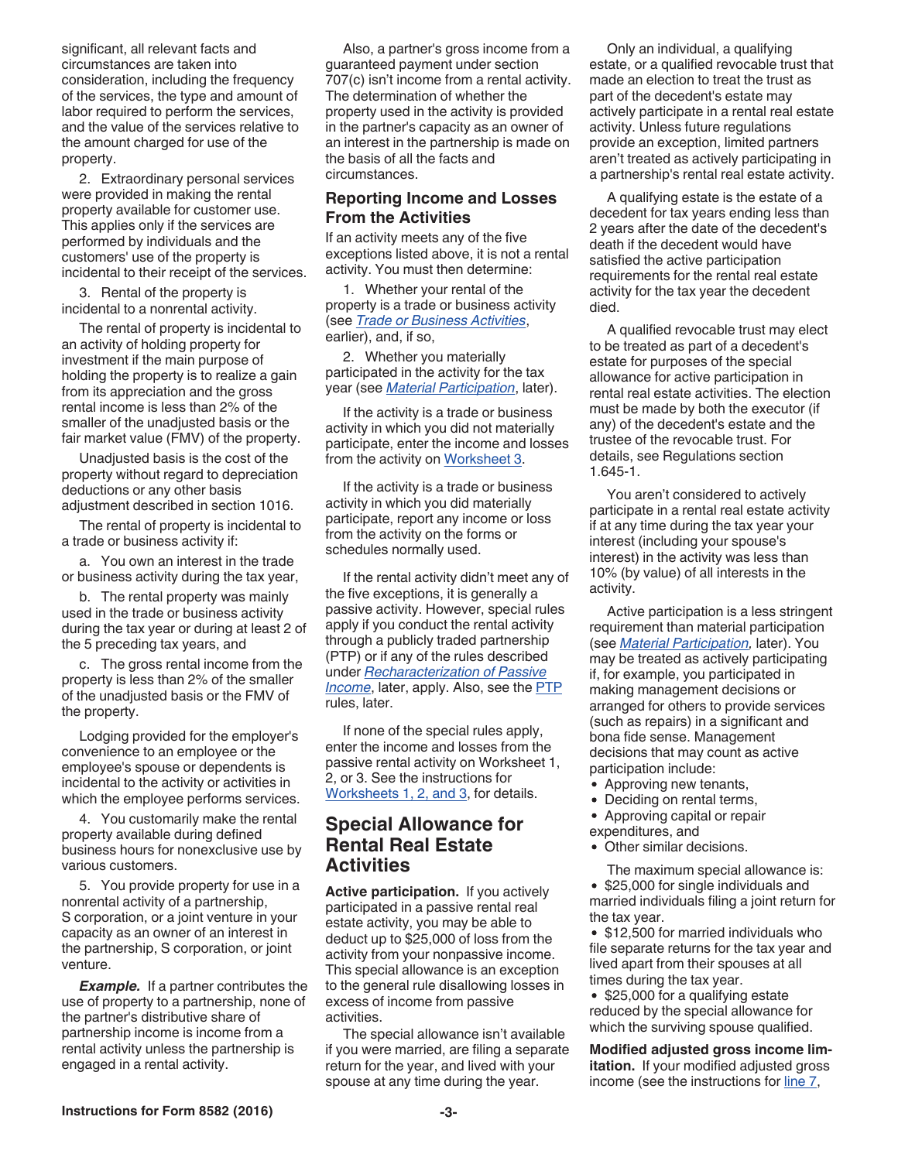<span id="page-2-0"></span>significant, all relevant facts and circumstances are taken into consideration, including the frequency of the services, the type and amount of labor required to perform the services, and the value of the services relative to the amount charged for use of the property.

2. Extraordinary personal services were provided in making the rental property available for customer use. This applies only if the services are performed by individuals and the customers' use of the property is incidental to their receipt of the services.

3. Rental of the property is incidental to a nonrental activity.

The rental of property is incidental to an activity of holding property for investment if the main purpose of holding the property is to realize a gain from its appreciation and the gross rental income is less than 2% of the smaller of the unadjusted basis or the fair market value (FMV) of the property.

Unadjusted basis is the cost of the property without regard to depreciation deductions or any other basis adjustment described in section 1016.

The rental of property is incidental to a trade or business activity if:

a. You own an interest in the trade or business activity during the tax year,

b. The rental property was mainly used in the trade or business activity during the tax year or during at least 2 of the 5 preceding tax years, and

c. The gross rental income from the property is less than 2% of the smaller of the unadjusted basis or the FMV of the property.

Lodging provided for the employer's convenience to an employee or the employee's spouse or dependents is incidental to the activity or activities in which the employee performs services.

4. You customarily make the rental property available during defined business hours for nonexclusive use by various customers.

5. You provide property for use in a nonrental activity of a partnership, S corporation, or a joint venture in your capacity as an owner of an interest in the partnership, S corporation, or joint venture.

*Example.* If a partner contributes the use of property to a partnership, none of the partner's distributive share of partnership income is income from a rental activity unless the partnership is engaged in a rental activity.

Also, a partner's gross income from a guaranteed payment under section 707(c) isn't income from a rental activity. The determination of whether the property used in the activity is provided in the partner's capacity as an owner of an interest in the partnership is made on the basis of all the facts and circumstances.

### **Reporting Income and Losses From the Activities**

If an activity meets any of the five exceptions listed above, it is not a rental activity. You must then determine:

1. Whether your rental of the property is a trade or business activity (see *[Trade or Business Activities](#page-1-0)*, earlier), and, if so,

2. Whether you materially participated in the activity for the tax year (see *[Material Participation](#page-3-0)*, later).

If the activity is a trade or business activity in which you did not materially participate, enter the income and losses from the activity on [Worksheet 3.](#page-8-0)

If the activity is a trade or business activity in which you did materially participate, report any income or loss from the activity on the forms or schedules normally used.

If the rental activity didn't meet any of the five exceptions, it is generally a passive activity. However, special rules apply if you conduct the rental activity through a publicly traded partnership (PTP) or if any of the rules described under *[Recharacterization of Passive](#page-6-0)  [Income](#page-6-0)*, later, apply. Also, see the [PTP](#page-12-0)  rules, later.

If none of the special rules apply, enter the income and losses from the passive rental activity on Worksheet 1, 2, or 3. See the instructions for [Worksheets 1, 2, and 3](#page-7-0), for details.

## **Special Allowance for Rental Real Estate Activities**

**Active participation.** If you actively participated in a passive rental real estate activity, you may be able to deduct up to \$25,000 of loss from the activity from your nonpassive income. This special allowance is an exception to the general rule disallowing losses in excess of income from passive activities.

The special allowance isn't available if you were married, are filing a separate return for the year, and lived with your spouse at any time during the year.

Only an individual, a qualifying estate, or a qualified revocable trust that made an election to treat the trust as part of the decedent's estate may actively participate in a rental real estate activity. Unless future regulations provide an exception, limited partners aren't treated as actively participating in a partnership's rental real estate activity.

A qualifying estate is the estate of a decedent for tax years ending less than 2 years after the date of the decedent's death if the decedent would have satisfied the active participation requirements for the rental real estate activity for the tax year the decedent died.

A qualified revocable trust may elect to be treated as part of a decedent's estate for purposes of the special allowance for active participation in rental real estate activities. The election must be made by both the executor (if any) of the decedent's estate and the trustee of the revocable trust. For details, see Regulations section 1.645-1.

You aren't considered to actively participate in a rental real estate activity if at any time during the tax year your interest (including your spouse's interest) in the activity was less than 10% (by value) of all interests in the activity.

Active participation is a less stringent requirement than material participation (see *[Material Participation,](#page-3-0)* later). You may be treated as actively participating if, for example, you participated in making management decisions or arranged for others to provide services (such as repairs) in a significant and bona fide sense. Management decisions that may count as active participation include:

- Approving new tenants,
- Deciding on rental terms,
- Approving capital or repair
- expenditures, and
- Other similar decisions.

The maximum special allowance is: • \$25,000 for single individuals and married individuals filing a joint return for the tax year.

• \$12,500 for married individuals who file separate returns for the tax year and lived apart from their spouses at all times during the tax year.

• \$25,000 for a qualifying estate reduced by the special allowance for which the surviving spouse qualified.

**Modified adjusted gross income limitation.** If your modified adjusted gross income (see the instructions for [line 7](#page-8-0),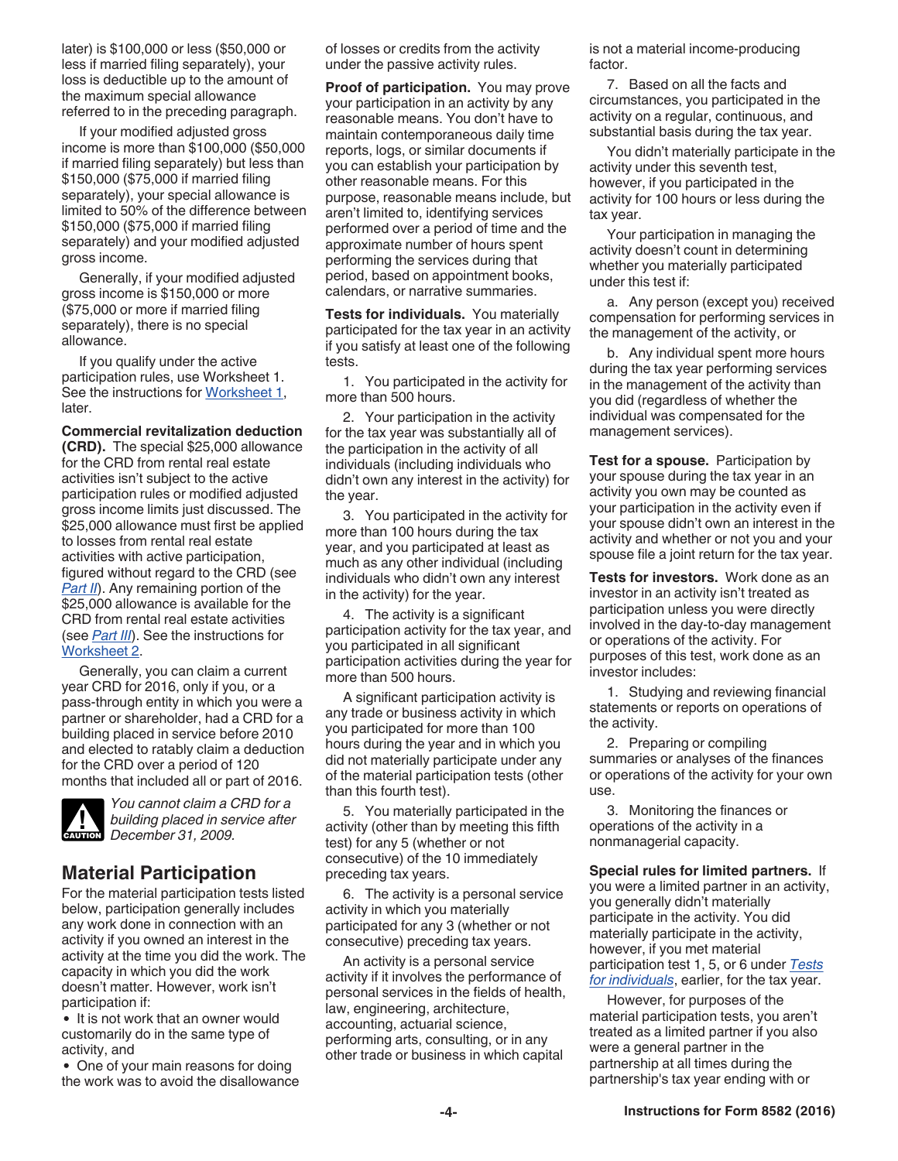<span id="page-3-0"></span>later) is \$100,000 or less (\$50,000 or less if married filing separately), your loss is deductible up to the amount of the maximum special allowance referred to in the preceding paragraph.

If your modified adjusted gross income is more than \$100,000 (\$50,000 if married filing separately) but less than \$150,000 (\$75,000 if married filing separately), your special allowance is limited to 50% of the difference between \$150,000 (\$75,000 if married filing separately) and your modified adjusted gross income.

Generally, if your modified adjusted gross income is \$150,000 or more (\$75,000 or more if married filing separately), there is no special allowance.

If you qualify under the active participation rules, use Worksheet 1. See the instructions for [Worksheet 1](#page-7-0), later.

**Commercial revitalization deduction (CRD).** The special \$25,000 allowance for the CRD from rental real estate activities isn't subject to the active participation rules or modified adjusted gross income limits just discussed. The \$25,000 allowance must first be applied to losses from rental real estate activities with active participation, figured without regard to the CRD (see *[Part II](#page-8-0)*). Any remaining portion of the \$25,000 allowance is available for the CRD from rental real estate activities (see *[Part III](#page-9-0)*). See the instructions for [Worksheet 2.](#page-8-0)

Generally, you can claim a current year CRD for 2016, only if you, or a pass-through entity in which you were a partner or shareholder, had a CRD for a building placed in service before 2010 and elected to ratably claim a deduction for the CRD over a period of 120 months that included all or part of 2016.



*You cannot claim a CRD for a building placed in service after December 31, 2009.* **CAUTION**

# **Material Participation**

For the material participation tests listed below, participation generally includes any work done in connection with an activity if you owned an interest in the activity at the time you did the work. The capacity in which you did the work doesn't matter. However, work isn't participation if:

• It is not work that an owner would customarily do in the same type of activity, and

• One of your main reasons for doing the work was to avoid the disallowance of losses or credits from the activity under the passive activity rules.

**Proof of participation.** You may prove your participation in an activity by any reasonable means. You don't have to maintain contemporaneous daily time reports, logs, or similar documents if you can establish your participation by other reasonable means. For this purpose, reasonable means include, but aren't limited to, identifying services performed over a period of time and the approximate number of hours spent performing the services during that period, based on appointment books, calendars, or narrative summaries.

**Tests for individuals.** You materially participated for the tax year in an activity if you satisfy at least one of the following tests.

1. You participated in the activity for more than 500 hours.

2. Your participation in the activity for the tax year was substantially all of the participation in the activity of all individuals (including individuals who didn't own any interest in the activity) for the year.

3. You participated in the activity for more than 100 hours during the tax year, and you participated at least as much as any other individual (including individuals who didn't own any interest in the activity) for the year.

4. The activity is a significant participation activity for the tax year, and you participated in all significant participation activities during the year for more than 500 hours.

A significant participation activity is any trade or business activity in which you participated for more than 100 hours during the year and in which you did not materially participate under any of the material participation tests (other than this fourth test).

5. You materially participated in the activity (other than by meeting this fifth test) for any 5 (whether or not consecutive) of the 10 immediately preceding tax years.

6. The activity is a personal service activity in which you materially participated for any 3 (whether or not consecutive) preceding tax years.

An activity is a personal service activity if it involves the performance of personal services in the fields of health, law, engineering, architecture, accounting, actuarial science, performing arts, consulting, or in any other trade or business in which capital

is not a material income-producing factor.

7. Based on all the facts and circumstances, you participated in the activity on a regular, continuous, and substantial basis during the tax year.

You didn't materially participate in the activity under this seventh test, however, if you participated in the activity for 100 hours or less during the tax year.

Your participation in managing the activity doesn't count in determining whether you materially participated under this test if:

a. Any person (except you) received compensation for performing services in the management of the activity, or

b. Any individual spent more hours during the tax year performing services in the management of the activity than you did (regardless of whether the individual was compensated for the management services).

**Test for a spouse.** Participation by your spouse during the tax year in an activity you own may be counted as your participation in the activity even if your spouse didn't own an interest in the activity and whether or not you and your spouse file a joint return for the tax year.

**Tests for investors.** Work done as an investor in an activity isn't treated as participation unless you were directly involved in the day-to-day management or operations of the activity. For purposes of this test, work done as an investor includes:

1. Studying and reviewing financial statements or reports on operations of the activity.

2. Preparing or compiling summaries or analyses of the finances or operations of the activity for your own use.

3. Monitoring the finances or operations of the activity in a nonmanagerial capacity.

**Special rules for limited partners.** If you were a limited partner in an activity, you generally didn't materially participate in the activity. You did materially participate in the activity, however, if you met material participation test 1, 5, or 6 under *Tests for individuals*, earlier, for the tax year.

However, for purposes of the material participation tests, you aren't treated as a limited partner if you also were a general partner in the partnership at all times during the partnership's tax year ending with or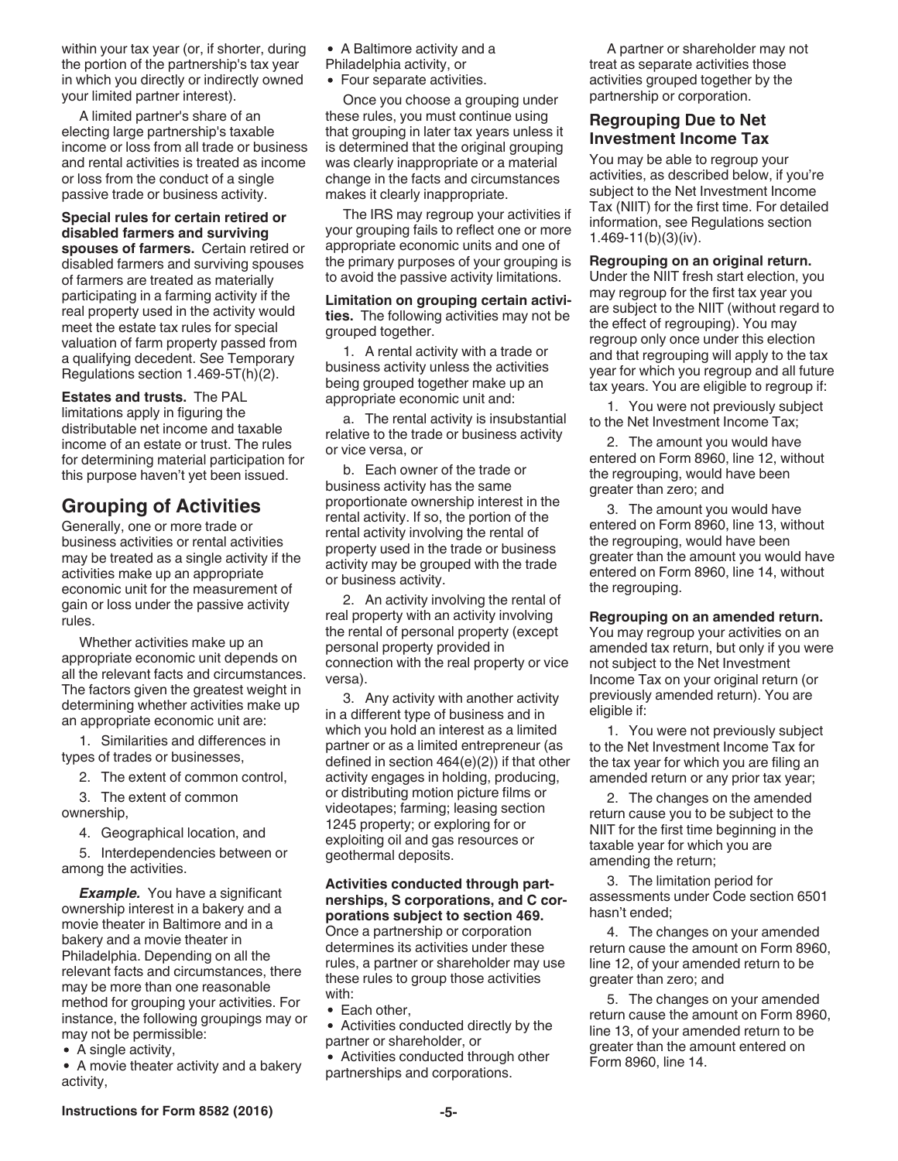<span id="page-4-0"></span>within your tax year (or, if shorter, during the portion of the partnership's tax year in which you directly or indirectly owned your limited partner interest).

A limited partner's share of an electing large partnership's taxable income or loss from all trade or business and rental activities is treated as income or loss from the conduct of a single passive trade or business activity.

**Special rules for certain retired or disabled farmers and surviving spouses of farmers.** Certain retired or disabled farmers and surviving spouses of farmers are treated as materially participating in a farming activity if the

real property used in the activity would meet the estate tax rules for special valuation of farm property passed from a qualifying decedent. See Temporary Regulations section 1.469-5T(h)(2).

**Estates and trusts.** The PAL limitations apply in figuring the distributable net income and taxable income of an estate or trust. The rules for determining material participation for this purpose haven't yet been issued.

# **Grouping of Activities**

Generally, one or more trade or business activities or rental activities may be treated as a single activity if the activities make up an appropriate economic unit for the measurement of gain or loss under the passive activity rules.

Whether activities make up an appropriate economic unit depends on all the relevant facts and circumstances. The factors given the greatest weight in determining whether activities make up an appropriate economic unit are:

1. Similarities and differences in types of trades or businesses,

2. The extent of common control,

3. The extent of common ownership,

4. Geographical location, and

5. Interdependencies between or among the activities.

**Example.** You have a significant ownership interest in a bakery and a movie theater in Baltimore and in a bakery and a movie theater in Philadelphia. Depending on all the relevant facts and circumstances, there may be more than one reasonable method for grouping your activities. For instance, the following groupings may or may not be permissible:

• A single activity,

A movie theater activity and a bakery activity,

• A Baltimore activity and a

- Philadelphia activity, or
- Four separate activities.

Once you choose a grouping under these rules, you must continue using that grouping in later tax years unless it is determined that the original grouping was clearly inappropriate or a material change in the facts and circumstances makes it clearly inappropriate.

The IRS may regroup your activities if your grouping fails to reflect one or more appropriate economic units and one of the primary purposes of your grouping is to avoid the passive activity limitations.

**Limitation on grouping certain activities.** The following activities may not be grouped together.

1. A rental activity with a trade or business activity unless the activities being grouped together make up an appropriate economic unit and:

a. The rental activity is insubstantial relative to the trade or business activity or vice versa, or

b. Each owner of the trade or business activity has the same proportionate ownership interest in the rental activity. If so, the portion of the rental activity involving the rental of property used in the trade or business activity may be grouped with the trade or business activity.

2. An activity involving the rental of real property with an activity involving the rental of personal property (except personal property provided in connection with the real property or vice versa).

3. Any activity with another activity in a different type of business and in which you hold an interest as a limited partner or as a limited entrepreneur (as defined in section 464(e)(2)) if that other activity engages in holding, producing, or distributing motion picture films or videotapes; farming; leasing section 1245 property; or exploring for or exploiting oil and gas resources or geothermal deposits.

#### **Activities conducted through partnerships, S corporations, and C corporations subject to section 469.**

Once a partnership or corporation determines its activities under these rules, a partner or shareholder may use these rules to group those activities with:

• Each other,

Activities conducted directly by the partner or shareholder, or

Activities conducted through other partnerships and corporations.

A partner or shareholder may not treat as separate activities those activities grouped together by the partnership or corporation.

## **Regrouping Due to Net Investment Income Tax**

You may be able to regroup your activities, as described below, if you're subject to the Net Investment Income Tax (NIIT) for the first time. For detailed information, see Regulations section 1.469-11(b)(3)(iv).

**Regrouping on an original return.** 

Under the NIIT fresh start election, you may regroup for the first tax year you are subject to the NIIT (without regard to the effect of regrouping). You may regroup only once under this election and that regrouping will apply to the tax year for which you regroup and all future tax years. You are eligible to regroup if:

1. You were not previously subject to the Net Investment Income Tax;

2. The amount you would have entered on Form 8960, line 12, without the regrouping, would have been greater than zero; and

3. The amount you would have entered on Form 8960, line 13, without the regrouping, would have been greater than the amount you would have entered on Form 8960, line 14, without the regrouping.

**Regrouping on an amended return.** 

You may regroup your activities on an amended tax return, but only if you were not subject to the Net Investment Income Tax on your original return (or previously amended return). You are eligible if:

1. You were not previously subject to the Net Investment Income Tax for the tax year for which you are filing an amended return or any prior tax year;

2. The changes on the amended return cause you to be subject to the NIIT for the first time beginning in the taxable year for which you are amending the return;

3. The limitation period for assessments under Code section 6501 hasn't ended;

4. The changes on your amended return cause the amount on Form 8960, line 12, of your amended return to be greater than zero; and

5. The changes on your amended return cause the amount on Form 8960, line 13, of your amended return to be greater than the amount entered on Form 8960, line 14.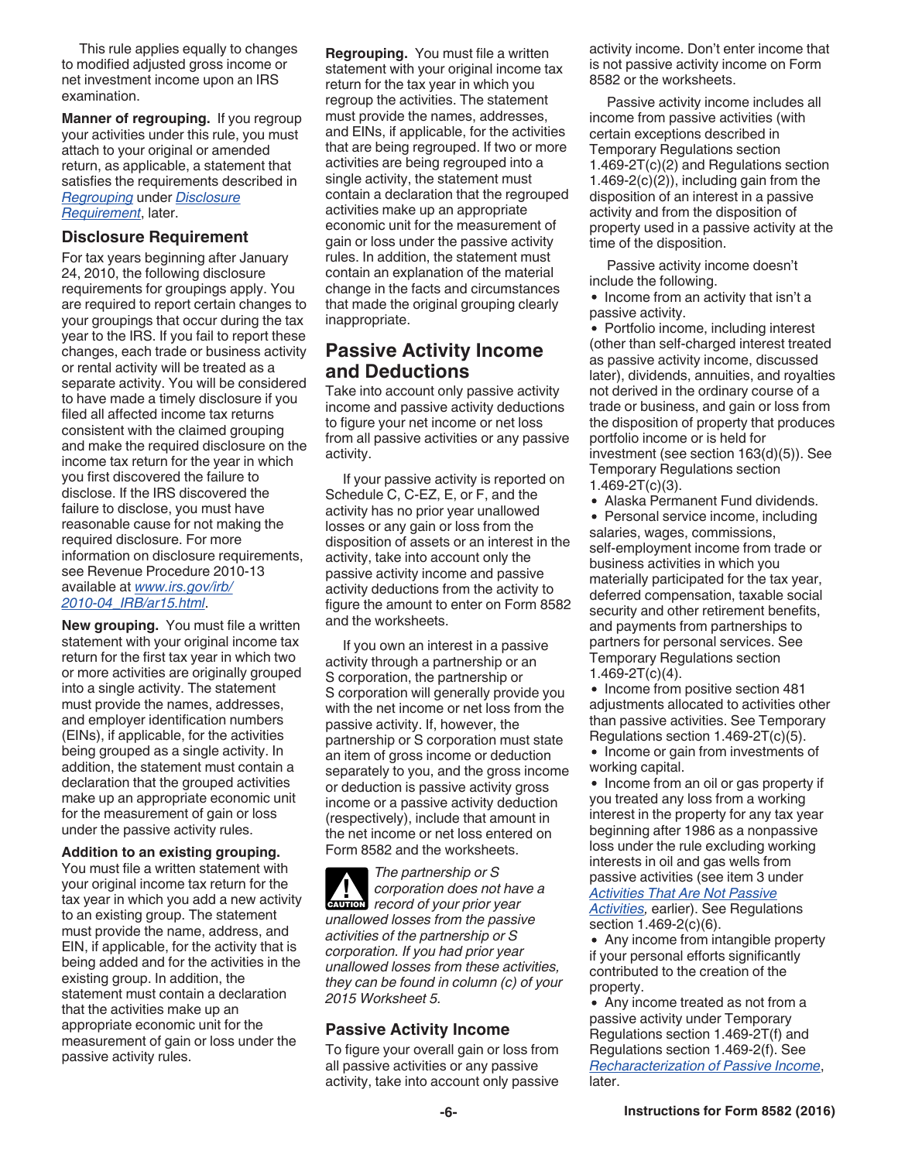<span id="page-5-0"></span>This rule applies equally to changes to modified adjusted gross income or net investment income upon an IRS examination.

**Manner of regrouping.** If you regroup your activities under this rule, you must attach to your original or amended return, as applicable, a statement that satisfies the requirements described in *Regrouping* under *Disclosure Requirement*, later.

#### **Disclosure Requirement**

For tax years beginning after January 24, 2010, the following disclosure requirements for groupings apply. You are required to report certain changes to your groupings that occur during the tax year to the IRS. If you fail to report these changes, each trade or business activity or rental activity will be treated as a separate activity. You will be considered to have made a timely disclosure if you filed all affected income tax returns consistent with the claimed grouping and make the required disclosure on the income tax return for the year in which you first discovered the failure to disclose. If the IRS discovered the failure to disclose, you must have reasonable cause for not making the required disclosure. For more information on disclosure requirements, see Revenue Procedure 2010-13 available at *[www.irs.gov/irb/](https://www.irs.gov/irb/2010-04_IRB/ar15.html) [2010-04\\_IRB/ar15.html](https://www.irs.gov/irb/2010-04_IRB/ar15.html)*.

**New grouping.** You must file a written statement with your original income tax return for the first tax year in which two or more activities are originally grouped into a single activity. The statement must provide the names, addresses, and employer identification numbers (EINs), if applicable, for the activities being grouped as a single activity. In addition, the statement must contain a declaration that the grouped activities make up an appropriate economic unit for the measurement of gain or loss under the passive activity rules.

**Addition to an existing grouping.**  You must file a written statement with your original income tax return for the tax year in which you add a new activity to an existing group. The statement must provide the name, address, and EIN, if applicable, for the activity that is being added and for the activities in the existing group. In addition, the statement must contain a declaration that the activities make up an appropriate economic unit for the measurement of gain or loss under the passive activity rules.

**Regrouping.** You must file a written statement with your original income tax return for the tax year in which you regroup the activities. The statement must provide the names, addresses, and EINs, if applicable, for the activities that are being regrouped. If two or more activities are being regrouped into a single activity, the statement must contain a declaration that the regrouped activities make up an appropriate economic unit for the measurement of gain or loss under the passive activity rules. In addition, the statement must contain an explanation of the material change in the facts and circumstances that made the original grouping clearly inappropriate.

## **Passive Activity Income and Deductions**

Take into account only passive activity income and passive activity deductions to figure your net income or net loss from all passive activities or any passive activity.

If your passive activity is reported on Schedule C, C-EZ, E, or F, and the activity has no prior year unallowed losses or any gain or loss from the disposition of assets or an interest in the activity, take into account only the passive activity income and passive activity deductions from the activity to figure the amount to enter on Form 8582 and the worksheets.

If you own an interest in a passive activity through a partnership or an S corporation, the partnership or S corporation will generally provide you with the net income or net loss from the passive activity. If, however, the partnership or S corporation must state an item of gross income or deduction separately to you, and the gross income or deduction is passive activity gross income or a passive activity deduction (respectively), include that amount in the net income or net loss entered on Form 8582 and the worksheets.

*The partnership or S corporation does not have a*  **Proposition** does not have **cord of your prior year** *unallowed losses from the passive activities of the partnership or S corporation. If you had prior year unallowed losses from these activities, they can be found in column (c) of your 2015 Worksheet 5.*

#### **Passive Activity Income**

To figure your overall gain or loss from all passive activities or any passive activity, take into account only passive activity income. Don't enter income that is not passive activity income on Form 8582 or the worksheets.

Passive activity income includes all income from passive activities (with certain exceptions described in Temporary Regulations section 1.469-2T(c)(2) and Regulations section 1.469-2(c)(2)), including gain from the disposition of an interest in a passive activity and from the disposition of property used in a passive activity at the time of the disposition.

Passive activity income doesn't include the following.

• Income from an activity that isn't a passive activity.

• Portfolio income, including interest (other than self-charged interest treated as passive activity income, discussed later), dividends, annuities, and royalties not derived in the ordinary course of a trade or business, and gain or loss from the disposition of property that produces portfolio income or is held for investment (see section 163(d)(5)). See Temporary Regulations section  $1.469 - 2T(c)(3)$ .

Alaska Permanent Fund dividends.

• Personal service income, including salaries, wages, commissions, self-employment income from trade or business activities in which you materially participated for the tax year, deferred compensation, taxable social security and other retirement benefits, and payments from partnerships to partners for personal services. See Temporary Regulations section 1.469-2T(c)(4).

• Income from positive section 481 adjustments allocated to activities other than passive activities. See Temporary Regulations section 1.469-2T(c)(5).

• Income or gain from investments of working capital.

• Income from an oil or gas property if you treated any loss from a working interest in the property for any tax year beginning after 1986 as a nonpassive loss under the rule excluding working interests in oil and gas wells from passive activities (see item 3 under *[Activities That Are Not Passive](#page-1-0)* 

*[Activities](#page-1-0),* earlier). See Regulations section 1.469-2(c)(6).

• Any income from intangible property if your personal efforts significantly contributed to the creation of the property.

• Any income treated as not from a passive activity under Temporary Regulations section 1.469-2T(f) and Regulations section 1.469-2(f). See *[Recharacterization of Passive Income](#page-6-0)*, later.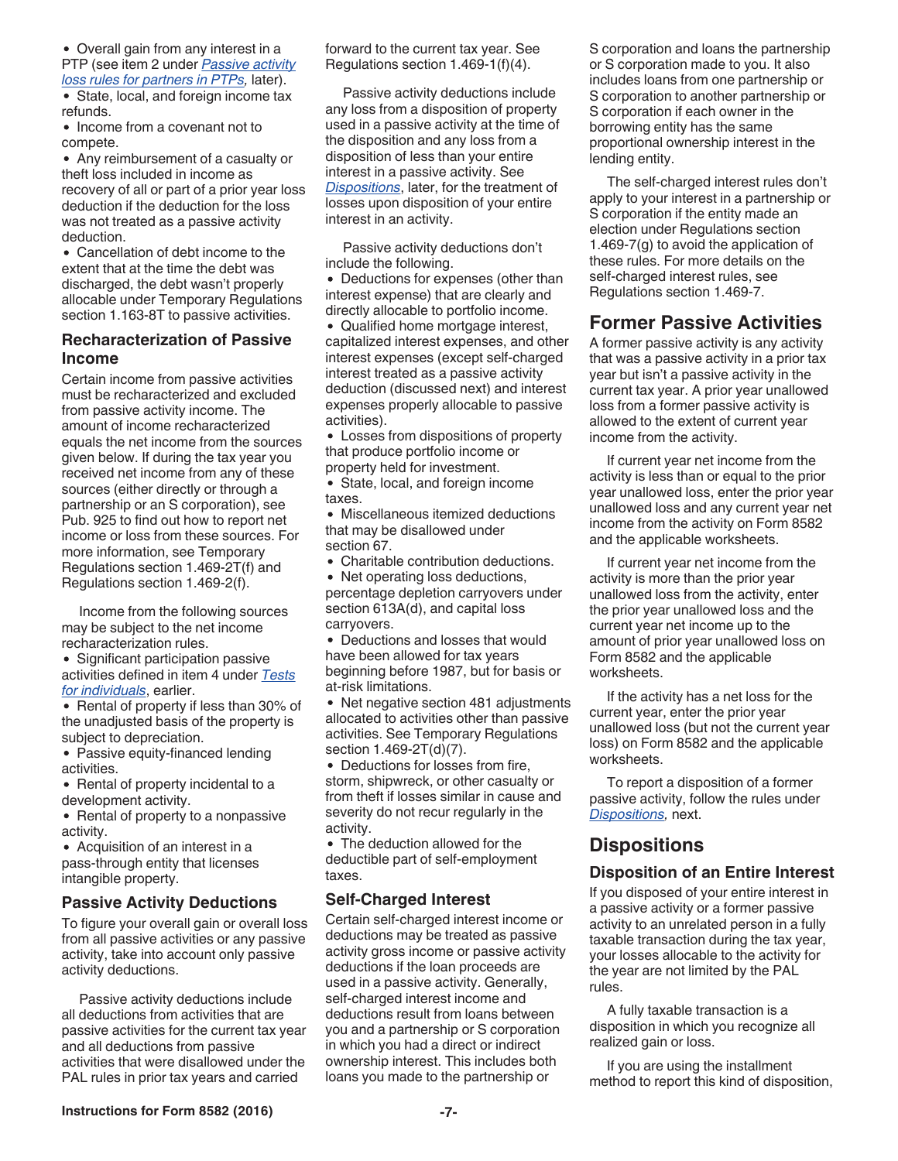<span id="page-6-0"></span>Overall gain from any interest in a PTP (see item 2 under *[Passive activity](#page-12-0)  [loss rules for partners in PTPs,](#page-12-0)* later).

• State, local, and foreign income tax refunds.

• Income from a covenant not to compete.

Any reimbursement of a casualty or theft loss included in income as recovery of all or part of a prior year loss deduction if the deduction for the loss was not treated as a passive activity deduction.

Cancellation of debt income to the extent that at the time the debt was discharged, the debt wasn't properly allocable under Temporary Regulations section 1.163-8T to passive activities.

#### **Recharacterization of Passive Income**

Certain income from passive activities must be recharacterized and excluded from passive activity income. The amount of income recharacterized equals the net income from the sources given below. If during the tax year you received net income from any of these sources (either directly or through a partnership or an S corporation), see Pub. 925 to find out how to report net income or loss from these sources. For more information, see Temporary Regulations section 1.469-2T(f) and Regulations section 1.469-2(f).

Income from the following sources may be subject to the net income recharacterization rules.

• Significant participation passive activities defined in item 4 under *[Tests](#page-3-0) [for individuals](#page-3-0)*, earlier.

• Rental of property if less than 30% of the unadjusted basis of the property is subject to depreciation.

• Passive equity-financed lending activities.

• Rental of property incidental to a development activity.

• Rental of property to a nonpassive activity.

Acquisition of an interest in a pass-through entity that licenses intangible property.

#### **Passive Activity Deductions**

To figure your overall gain or overall loss from all passive activities or any passive activity, take into account only passive activity deductions.

Passive activity deductions include all deductions from activities that are passive activities for the current tax year and all deductions from passive activities that were disallowed under the PAL rules in prior tax years and carried

forward to the current tax year. See Regulations section 1.469-1(f)(4).

Passive activity deductions include any loss from a disposition of property used in a passive activity at the time of the disposition and any loss from a disposition of less than your entire interest in a passive activity. See *Dispositions*, later, for the treatment of losses upon disposition of your entire interest in an activity.

Passive activity deductions don't include the following.

Deductions for expenses (other than interest expense) that are clearly and directly allocable to portfolio income.

Qualified home mortgage interest, capitalized interest expenses, and other interest expenses (except self-charged interest treated as a passive activity deduction (discussed next) and interest expenses properly allocable to passive activities).

Losses from dispositions of property that produce portfolio income or property held for investment.

State, local, and foreign income taxes.

Miscellaneous itemized deductions that may be disallowed under section 67.

Charitable contribution deductions.

• Net operating loss deductions, percentage depletion carryovers under section 613A(d), and capital loss carryovers.

Deductions and losses that would have been allowed for tax years beginning before 1987, but for basis or at-risk limitations.

• Net negative section 481 adjustments allocated to activities other than passive activities. See Temporary Regulations section 1.469-2T(d)(7).

Deductions for losses from fire, storm, shipwreck, or other casualty or from theft if losses similar in cause and severity do not recur regularly in the activity.

• The deduction allowed for the deductible part of self-employment taxes.

## **Self-Charged Interest**

Certain self-charged interest income or deductions may be treated as passive activity gross income or passive activity deductions if the loan proceeds are used in a passive activity. Generally, self-charged interest income and deductions result from loans between you and a partnership or S corporation in which you had a direct or indirect ownership interest. This includes both loans you made to the partnership or

S corporation and loans the partnership or S corporation made to you. It also includes loans from one partnership or S corporation to another partnership or S corporation if each owner in the borrowing entity has the same proportional ownership interest in the lending entity.

The self-charged interest rules don't apply to your interest in a partnership or S corporation if the entity made an election under Regulations section 1.469-7(g) to avoid the application of these rules. For more details on the self-charged interest rules, see Regulations section 1.469-7.

# **Former Passive Activities**

A former passive activity is any activity that was a passive activity in a prior tax year but isn't a passive activity in the current tax year. A prior year unallowed loss from a former passive activity is allowed to the extent of current year income from the activity.

If current year net income from the activity is less than or equal to the prior year unallowed loss, enter the prior year unallowed loss and any current year net income from the activity on Form 8582 and the applicable worksheets.

If current year net income from the activity is more than the prior year unallowed loss from the activity, enter the prior year unallowed loss and the current year net income up to the amount of prior year unallowed loss on Form 8582 and the applicable worksheets.

If the activity has a net loss for the current year, enter the prior year unallowed loss (but not the current year loss) on Form 8582 and the applicable worksheets.

To report a disposition of a former passive activity, follow the rules under *Dispositions,* next.

# **Dispositions**

## **Disposition of an Entire Interest**

If you disposed of your entire interest in a passive activity or a former passive activity to an unrelated person in a fully taxable transaction during the tax year, your losses allocable to the activity for the year are not limited by the PAL rules.

A fully taxable transaction is a disposition in which you recognize all realized gain or loss.

If you are using the installment method to report this kind of disposition,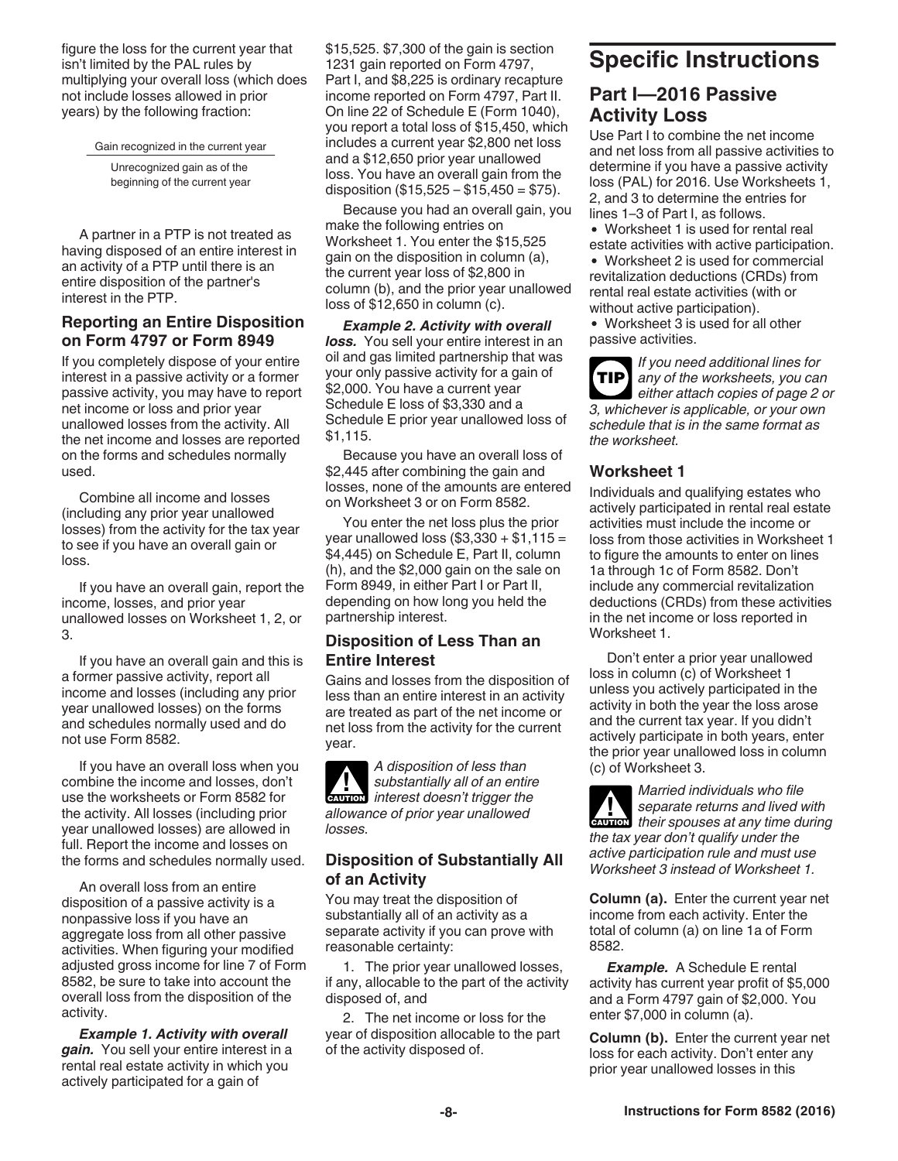<span id="page-7-0"></span>figure the loss for the current year that isn't limited by the PAL rules by multiplying your overall loss (which does not include losses allowed in prior years) by the following fraction:

Gain recognized in the current year

Unrecognized gain as of the beginning of the current year

A partner in a PTP is not treated as having disposed of an entire interest in an activity of a PTP until there is an entire disposition of the partner's interest in the PTP.

#### **Reporting an Entire Disposition on Form 4797 or Form 8949**

If you completely dispose of your entire interest in a passive activity or a former passive activity, you may have to report net income or loss and prior year unallowed losses from the activity. All the net income and losses are reported on the forms and schedules normally used.

Combine all income and losses (including any prior year unallowed losses) from the activity for the tax year to see if you have an overall gain or loss.

If you have an overall gain, report the income, losses, and prior year unallowed losses on Worksheet 1, 2, or 3.

If you have an overall gain and this is a former passive activity, report all income and losses (including any prior year unallowed losses) on the forms and schedules normally used and do not use Form 8582.

If you have an overall loss when you combine the income and losses, don't use the worksheets or Form 8582 for the activity. All losses (including prior year unallowed losses) are allowed in full. Report the income and losses on the forms and schedules normally used.

An overall loss from an entire disposition of a passive activity is a nonpassive loss if you have an aggregate loss from all other passive activities. When figuring your modified adjusted gross income for line 7 of Form 8582, be sure to take into account the overall loss from the disposition of the activity.

*Example 1. Activity with overall gain.* You sell your entire interest in a rental real estate activity in which you actively participated for a gain of

\$15,525. \$7,300 of the gain is section 1231 gain reported on Form 4797, Part I, and \$8,225 is ordinary recapture income reported on Form 4797, Part II. On line 22 of Schedule E (Form 1040), you report a total loss of \$15,450, which includes a current year \$2,800 net loss and a \$12,650 prior year unallowed loss. You have an overall gain from the disposition  $(\$15,525 - \$15,450 = \$75)$ .

Because you had an overall gain, you make the following entries on Worksheet 1. You enter the \$15,525 gain on the disposition in column (a), the current year loss of \$2,800 in column (b), and the prior year unallowed loss of \$12,650 in column (c).

*Example 2. Activity with overall*  **loss.** You sell your entire interest in an oil and gas limited partnership that was your only passive activity for a gain of \$2,000. You have a current year Schedule E loss of \$3,330 and a Schedule E prior year unallowed loss of \$1,115.

Because you have an overall loss of \$2,445 after combining the gain and losses, none of the amounts are entered on Worksheet 3 or on Form 8582.

You enter the net loss plus the prior year unallowed loss  $($3,330 + $1,115 =$ \$4,445) on Schedule E, Part II, column (h), and the \$2,000 gain on the sale on Form 8949, in either Part I or Part II, depending on how long you held the partnership interest.

### **Disposition of Less Than an Entire Interest**

Gains and losses from the disposition of less than an entire interest in an activity are treated as part of the net income or net loss from the activity for the current year.

*A disposition of less than substantially all of an entire*  **k** substantially all of an entire<br> **CAUTION** interest doesn't trigger the *allowance of prior year unallowed losses.*

### **Disposition of Substantially All of an Activity**

You may treat the disposition of substantially all of an activity as a separate activity if you can prove with reasonable certainty:

1. The prior year unallowed losses, if any, allocable to the part of the activity disposed of, and

2. The net income or loss for the year of disposition allocable to the part of the activity disposed of.

# **Specific Instructions**

## **Part I—2016 Passive Activity Loss**

Use Part I to combine the net income and net loss from all passive activities to determine if you have a passive activity loss (PAL) for 2016. Use Worksheets 1, 2, and 3 to determine the entries for lines 1–3 of Part I, as follows.

Worksheet 1 is used for rental real estate activities with active participation.

• Worksheet 2 is used for commercial revitalization deductions (CRDs) from rental real estate activities (with or without active participation).

Worksheet 3 is used for all other passive activities.

*If you need additional lines for any of the worksheets, you can either attach copies of page 2 or 3, whichever is applicable, or your own schedule that is in the same format as the worksheet.* **TIP**

### **Worksheet 1**

Individuals and qualifying estates who actively participated in rental real estate activities must include the income or loss from those activities in Worksheet 1 to figure the amounts to enter on lines 1a through 1c of Form 8582. Don't include any commercial revitalization deductions (CRDs) from these activities in the net income or loss reported in Worksheet 1.

Don't enter a prior year unallowed loss in column (c) of Worksheet 1 unless you actively participated in the activity in both the year the loss arose and the current tax year. If you didn't actively participate in both years, enter the prior year unallowed loss in column (c) of Worksheet 3.

*Married individuals who file separate returns and lived with*  **z** separate returns and lived with their spouses at any time during *the tax year don't qualify under the active participation rule and must use Worksheet 3 instead of Worksheet 1.*

**Column (a).** Enter the current year net income from each activity. Enter the total of column (a) on line 1a of Form 8582.

*Example.* A Schedule E rental activity has current year profit of \$5,000 and a Form 4797 gain of \$2,000. You enter \$7,000 in column (a).

**Column (b).** Enter the current year net loss for each activity. Don't enter any prior year unallowed losses in this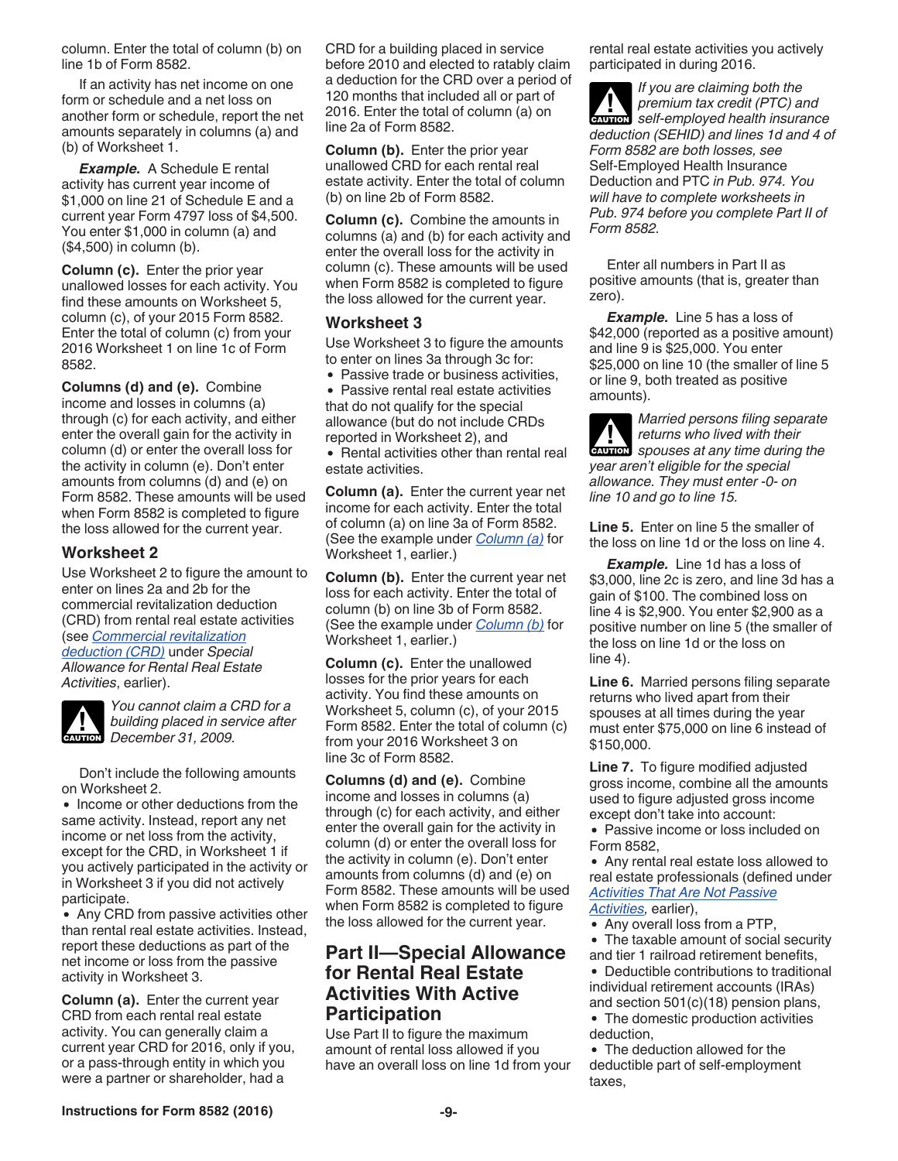<span id="page-8-0"></span>column. Enter the total of column (b) on line 1b of Form 8582.

If an activity has net income on one form or schedule and a net loss on another form or schedule, report the net amounts separately in columns (a) and (b) of Worksheet 1.

*Example.* A Schedule E rental activity has current year income of \$1,000 on line 21 of Schedule E and a current year Form 4797 loss of \$4,500. You enter \$1,000 in column (a) and (\$4,500) in column (b).

**Column (c).** Enter the prior year unallowed losses for each activity. You find these amounts on Worksheet 5, column (c), of your 2015 Form 8582. Enter the total of column (c) from your 2016 Worksheet 1 on line 1c of Form 8582.

**Columns (d) and (e).** Combine income and losses in columns (a) through (c) for each activity, and either enter the overall gain for the activity in column (d) or enter the overall loss for the activity in column (e). Don't enter amounts from columns (d) and (e) on Form 8582. These amounts will be used when Form 8582 is completed to figure the loss allowed for the current year.

#### **Worksheet 2**

Use Worksheet 2 to figure the amount to enter on lines 2a and 2b for the commercial revitalization deduction (CRD) from rental real estate activities (see *[Commercial revitalization](#page-3-0)  [deduction \(CRD\)](#page-3-0)* under *Special Allowance for Rental Real Estate Activities*, earlier).



*You cannot claim a CRD for a building placed in service after*  **building placed in se**<br> **December 31, 2009.** 

Don't include the following amounts on Worksheet 2.

• Income or other deductions from the same activity. Instead, report any net income or net loss from the activity, except for the CRD, in Worksheet 1 if you actively participated in the activity or in Worksheet 3 if you did not actively participate.

• Any CRD from passive activities other than rental real estate activities. Instead, report these deductions as part of the net income or loss from the passive activity in Worksheet 3.

**Column (a).** Enter the current year CRD from each rental real estate activity. You can generally claim a current year CRD for 2016, only if you, or a pass-through entity in which you were a partner or shareholder, had a

CRD for a building placed in service before 2010 and elected to ratably claim a deduction for the CRD over a period of 120 months that included all or part of 2016. Enter the total of column (a) on line 2a of Form 8582.

**Column (b).** Enter the prior year unallowed CRD for each rental real estate activity. Enter the total of column (b) on line 2b of Form 8582.

**Column (c).** Combine the amounts in columns (a) and (b) for each activity and enter the overall loss for the activity in column (c). These amounts will be used when Form 8582 is completed to figure the loss allowed for the current year.

#### **Worksheet 3**

Use Worksheet 3 to figure the amounts to enter on lines 3a through 3c for:

• Passive trade or business activities,

Passive rental real estate activities that do not qualify for the special allowance (but do not include CRDs reported in Worksheet 2), and

• Rental activities other than rental real estate activities.

**Column (a).** Enter the current year net income for each activity. Enter the total of column (a) on line 3a of Form 8582. (See the example under *[Column \(a\)](#page-7-0)* for Worksheet 1, earlier.)

**Column (b).** Enter the current year net loss for each activity. Enter the total of column (b) on line 3b of Form 8582. (See the example under *[Column \(b\)](#page-7-0)* for Worksheet 1, earlier.)

**Column (c).** Enter the unallowed losses for the prior years for each activity. You find these amounts on Worksheet 5, column (c), of your 2015 Form 8582. Enter the total of column (c) from your 2016 Worksheet 3 on line 3c of Form 8582.

**Columns (d) and (e).** Combine income and losses in columns (a) through (c) for each activity, and either enter the overall gain for the activity in column (d) or enter the overall loss for the activity in column (e). Don't enter amounts from columns (d) and (e) on Form 8582. These amounts will be used when Form 8582 is completed to figure the loss allowed for the current year.

## **Part II—Special Allowance for Rental Real Estate Activities With Active Participation**

Use Part II to figure the maximum amount of rental loss allowed if you have an overall loss on line 1d from your rental real estate activities you actively participated in during 2016.

*If you are claiming both the premium tax credit (PTC) and*  **z** premium tax credit (PTC) and<br>self-employed health insurance *deduction (SEHID) and lines 1d and 4 of Form 8582 are both losses, see*  Self-Employed Health Insurance Deduction and PTC *in Pub. 974. You will have to complete worksheets in Pub. 974 before you complete Part II of Form 8582.*

Enter all numbers in Part II as positive amounts (that is, greater than zero).

*Example.* Line 5 has a loss of \$42,000 (reported as a positive amount) and line 9 is \$25,000. You enter \$25,000 on line 10 (the smaller of line 5 or line 9, both treated as positive amounts).

*Married persons filing separate returns who lived with their*  **z** *spouses at any time during the year aren't eligible for the special allowance. They must enter -0- on line 10 and go to line 15.*

**Line 5.** Enter on line 5 the smaller of the loss on line 1d or the loss on line 4.

*Example.* Line 1d has a loss of \$3,000, line 2c is zero, and line 3d has a gain of \$100. The combined loss on line 4 is \$2,900. You enter \$2,900 as a positive number on line 5 (the smaller of the loss on line 1d or the loss on line 4).

**Line 6.** Married persons filing separate returns who lived apart from their spouses at all times during the year must enter \$75,000 on line 6 instead of \$150,000.

**Line 7.** To figure modified adjusted gross income, combine all the amounts used to figure adjusted gross income except don't take into account:

• Passive income or loss included on Form 8582,

Any rental real estate loss allowed to real estate professionals (defined under *[Activities That Are Not Passive](#page-1-0) [Activities](#page-1-0),* earlier),

• Any overall loss from a PTP,

The taxable amount of social security and tier 1 railroad retirement benefits,

- Deductible contributions to traditional individual retirement accounts (IRAs) and section 501(c)(18) pension plans,
- The domestic production activities deduction, The deduction allowed for the

deductible part of self-employment taxes,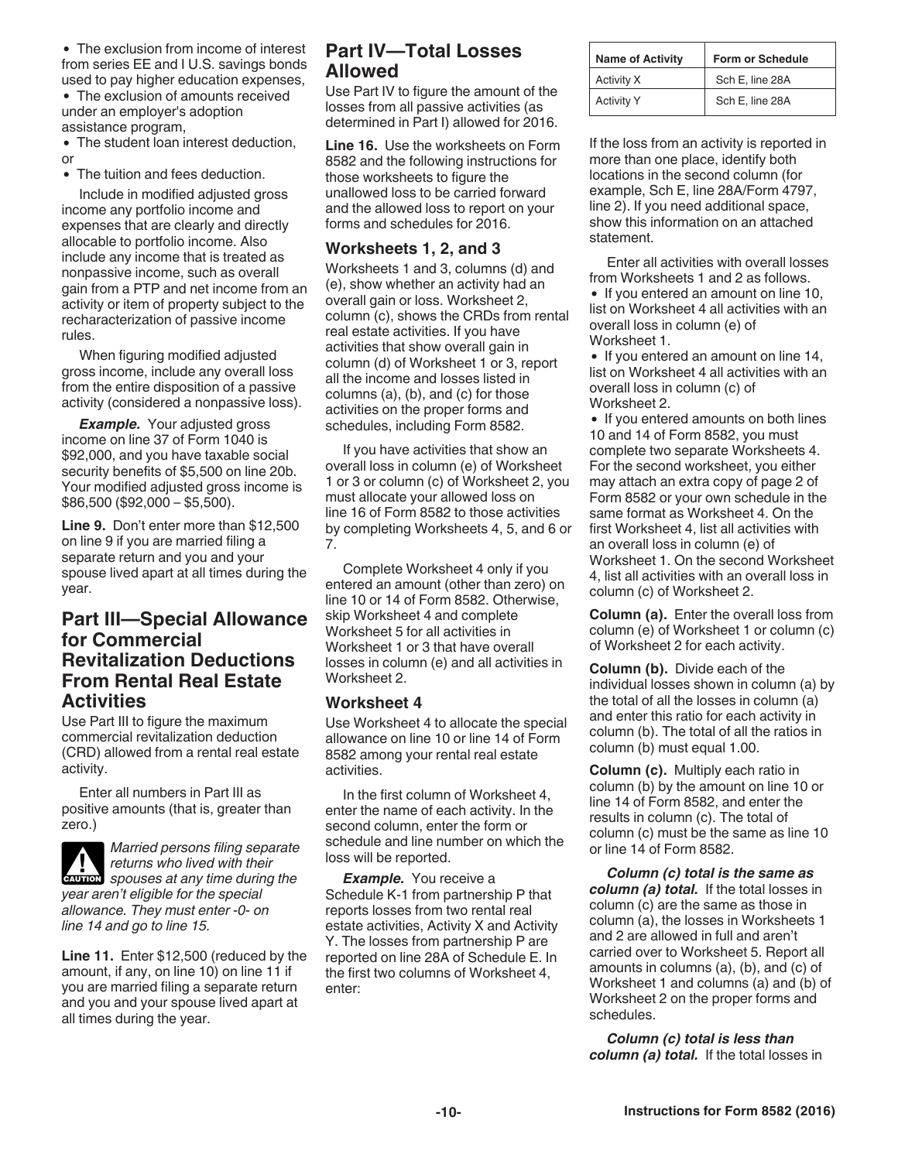<span id="page-9-0"></span>• The exclusion from income of interest from series EE and I U.S. savings bonds used to pay higher education expenses,

The exclusion of amounts received under an employer's adoption assistance program,

• The student loan interest deduction, or

The tuition and fees deduction.

Include in modified adjusted gross income any portfolio income and expenses that are clearly and directly allocable to portfolio income. Also include any income that is treated as nonpassive income, such as overall gain from a PTP and net income from an activity or item of property subject to the recharacterization of passive income rules.

When figuring modified adjusted gross income, include any overall loss from the entire disposition of a passive activity (considered a nonpassive loss).

*Example.* Your adjusted gross income on line 37 of Form 1040 is \$92,000, and you have taxable social security benefits of \$5,500 on line 20b. Your modified adjusted gross income is \$86,500 (\$92,000 – \$5,500).

**Line 9.** Don't enter more than \$12,500 on line 9 if you are married filing a separate return and you and your spouse lived apart at all times during the year.

## **Part III—Special Allowance for Commercial Revitalization Deductions From Rental Real Estate Activities**

Use Part III to figure the maximum commercial revitalization deduction (CRD) allowed from a rental real estate activity.

Enter all numbers in Part III as positive amounts (that is, greater than zero.)



*Married persons filing separate returns who lived with their*  **z** *spouses at any time during the* 

*year aren't eligible for the special allowance. They must enter -0- on line 14 and go to line 15.*

**Line 11.** Enter \$12,500 (reduced by the amount, if any, on line 10) on line 11 if you are married filing a separate return and you and your spouse lived apart at all times during the year.

# **Part IV—Total Losses Allowed**

Use Part IV to figure the amount of the losses from all passive activities (as determined in Part I) allowed for 2016.

**Line 16.** Use the worksheets on Form 8582 and the following instructions for those worksheets to figure the unallowed loss to be carried forward and the allowed loss to report on your forms and schedules for 2016.

#### **Worksheets 1, 2, and 3**

Worksheets 1 and 3, columns (d) and (e), show whether an activity had an overall gain or loss. Worksheet 2, column (c), shows the CRDs from rental real estate activities. If you have activities that show overall gain in column (d) of Worksheet 1 or 3, report all the income and losses listed in columns (a), (b), and (c) for those activities on the proper forms and schedules, including Form 8582.

If you have activities that show an overall loss in column (e) of Worksheet 1 or 3 or column (c) of Worksheet 2, you must allocate your allowed loss on line 16 of Form 8582 to those activities by completing Worksheets 4, 5, and 6 or 7.

Complete Worksheet 4 only if you entered an amount (other than zero) on line 10 or 14 of Form 8582. Otherwise, skip Worksheet 4 and complete Worksheet 5 for all activities in Worksheet 1 or 3 that have overall losses in column (e) and all activities in Worksheet 2.

#### **Worksheet 4**

Use Worksheet 4 to allocate the special allowance on line 10 or line 14 of Form 8582 among your rental real estate activities.

In the first column of Worksheet 4, enter the name of each activity. In the second column, enter the form or schedule and line number on which the loss will be reported.

**Example.** You receive a Schedule K-1 from partnership P that reports losses from two rental real estate activities, Activity X and Activity Y. The losses from partnership P are reported on line 28A of Schedule E. In the first two columns of Worksheet 4, enter:

| <b>Name of Activity</b> | <b>Form or Schedule</b> |  |
|-------------------------|-------------------------|--|
| Activity X              | Sch E, line 28A         |  |
| <b>Activity Y</b>       | Sch E, line 28A         |  |

If the loss from an activity is reported in more than one place, identify both locations in the second column (for example, Sch E, line 28A/Form 4797, line 2). If you need additional space, show this information on an attached statement.

Enter all activities with overall losses from Worksheets 1 and 2 as follows.

• If you entered an amount on line 10, list on Worksheet 4 all activities with an overall loss in column (e) of Worksheet 1.

• If you entered an amount on line 14, list on Worksheet 4 all activities with an overall loss in column (c) of Worksheet 2.

• If you entered amounts on both lines 10 and 14 of Form 8582, you must complete two separate Worksheets 4. For the second worksheet, you either may attach an extra copy of page 2 of Form 8582 or your own schedule in the same format as Worksheet 4. On the first Worksheet 4, list all activities with an overall loss in column (e) of Worksheet 1. On the second Worksheet 4, list all activities with an overall loss in column (c) of Worksheet 2.

**Column (a).** Enter the overall loss from column (e) of Worksheet 1 or column (c) of Worksheet 2 for each activity.

**Column (b).** Divide each of the individual losses shown in column (a) by the total of all the losses in column (a) and enter this ratio for each activity in column (b). The total of all the ratios in column (b) must equal 1.00.

**Column (c).** Multiply each ratio in column (b) by the amount on line 10 or line 14 of Form 8582, and enter the results in column (c). The total of column (c) must be the same as line 10 or line 14 of Form 8582.

*Column (c) total is the same as column (a) total.* If the total losses in column (c) are the same as those in column (a), the losses in Worksheets 1 and 2 are allowed in full and aren't carried over to Worksheet 5. Report all amounts in columns (a), (b), and (c) of Worksheet 1 and columns (a) and (b) of Worksheet 2 on the proper forms and schedules.

*Column (c) total is less than column (a) total.* If the total losses in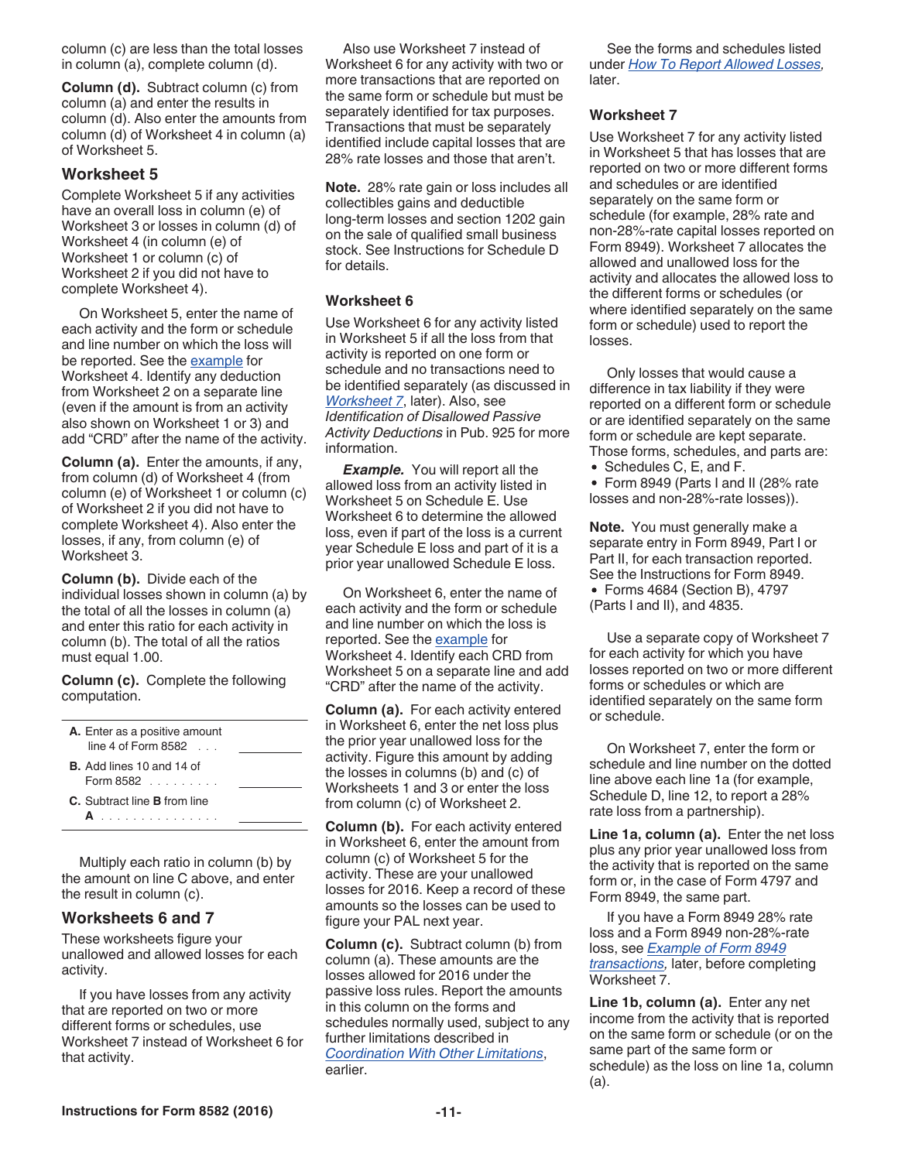column (c) are less than the total losses in column (a), complete column (d).

**Column (d).** Subtract column (c) from column (a) and enter the results in column (d). Also enter the amounts from column (d) of Worksheet 4 in column (a) of Worksheet 5.

#### **Worksheet 5**

Complete Worksheet 5 if any activities have an overall loss in column (e) of Worksheet 3 or losses in column (d) of Worksheet 4 (in column (e) of Worksheet 1 or column (c) of Worksheet 2 if you did not have to complete Worksheet 4).

On Worksheet 5, enter the name of each activity and the form or schedule and line number on which the loss will be reported. See the [example](#page-9-0) for Worksheet 4. Identify any deduction from Worksheet 2 on a separate line (even if the amount is from an activity also shown on Worksheet 1 or 3) and add "CRD" after the name of the activity.

**Column (a).** Enter the amounts, if any, from column (d) of Worksheet 4 (from column (e) of Worksheet 1 or column (c) of Worksheet 2 if you did not have to complete Worksheet 4). Also enter the losses, if any, from column (e) of Worksheet 3.

**Column (b).** Divide each of the individual losses shown in column (a) by the total of all the losses in column (a) and enter this ratio for each activity in column (b). The total of all the ratios must equal 1.00.

**Column (c).** Complete the following computation.

| A. Enter as a positive amount<br>line 4 of Form $8582$                     |  |
|----------------------------------------------------------------------------|--|
| <b>B.</b> Add lines 10 and 14 of<br>Form 8582 $\ldots$ $\ldots$            |  |
| C. Subtract line <b>B</b> from line<br>and the problems of the problems of |  |

Multiply each ratio in column (b) by the amount on line C above, and enter the result in column (c).

#### **Worksheets 6 and 7**

These worksheets figure your unallowed and allowed losses for each activity.

If you have losses from any activity that are reported on two or more different forms or schedules, use Worksheet 7 instead of Worksheet 6 for that activity.

Also use Worksheet 7 instead of Worksheet 6 for any activity with two or more transactions that are reported on the same form or schedule but must be separately identified for tax purposes. Transactions that must be separately identified include capital losses that are 28% rate losses and those that aren't.

**Note.** 28% rate gain or loss includes all collectibles gains and deductible long-term losses and section 1202 gain on the sale of qualified small business stock. See Instructions for Schedule D for details.

#### **Worksheet 6**

Use Worksheet 6 for any activity listed in Worksheet 5 if all the loss from that activity is reported on one form or schedule and no transactions need to be identified separately (as discussed in *Worksheet 7*, later). Also, see *Identification of Disallowed Passive Activity Deductions* in Pub. 925 for more information.

*Example.* You will report all the allowed loss from an activity listed in Worksheet 5 on Schedule E. Use Worksheet 6 to determine the allowed loss, even if part of the loss is a current year Schedule E loss and part of it is a prior year unallowed Schedule E loss.

On Worksheet 6, enter the name of each activity and the form or schedule and line number on which the loss is reported. See the [example](#page-9-0) for Worksheet 4. Identify each CRD from Worksheet 5 on a separate line and add "CRD" after the name of the activity.

**Column (a).** For each activity entered in Worksheet 6, enter the net loss plus the prior year unallowed loss for the activity. Figure this amount by adding the losses in columns (b) and (c) of Worksheets 1 and 3 or enter the loss from column (c) of Worksheet 2.

**Column (b).** For each activity entered in Worksheet 6, enter the amount from column (c) of Worksheet 5 for the activity. These are your unallowed losses for 2016. Keep a record of these amounts so the losses can be used to figure your PAL next year.

**Column (c).** Subtract column (b) from column (a). These amounts are the losses allowed for 2016 under the passive loss rules. Report the amounts in this column on the forms and schedules normally used, subject to any further limitations described in *[Coordination With Other Limitations](#page-0-0)*, earlier.

See the forms and schedules listed under *[How To Report Allowed Losses,](#page-11-0)*  later.

#### **Worksheet 7**

Use Worksheet 7 for any activity listed in Worksheet 5 that has losses that are reported on two or more different forms and schedules or are identified separately on the same form or schedule (for example, 28% rate and non-28%-rate capital losses reported on Form 8949). Worksheet 7 allocates the allowed and unallowed loss for the activity and allocates the allowed loss to the different forms or schedules (or where identified separately on the same form or schedule) used to report the losses.

Only losses that would cause a difference in tax liability if they were reported on a different form or schedule or are identified separately on the same form or schedule are kept separate. Those forms, schedules, and parts are:

- Schedules C, E, and F.
- Form 8949 (Parts I and II (28% rate losses and non-28%-rate losses)).

**Note.** You must generally make a separate entry in Form 8949, Part I or Part II, for each transaction reported. See the Instructions for Form 8949. Forms 4684 (Section B), 4797 (Parts I and II), and 4835.

Use a separate copy of Worksheet 7 for each activity for which you have losses reported on two or more different forms or schedules or which are identified separately on the same form or schedule.

On Worksheet 7, enter the form or schedule and line number on the dotted line above each line 1a (for example, Schedule D, line 12, to report a 28% rate loss from a partnership).

**Line 1a, column (a).** Enter the net loss plus any prior year unallowed loss from the activity that is reported on the same form or, in the case of Form 4797 and Form 8949, the same part.

If you have a Form 8949 28% rate loss and a Form 8949 non-28%-rate loss, see *[Example of Form 8949](#page-11-0) [transactions](#page-11-0),* later, before completing Worksheet 7.

**Line 1b, column (a).** Enter any net income from the activity that is reported on the same form or schedule (or on the same part of the same form or schedule) as the loss on line 1a, column (a).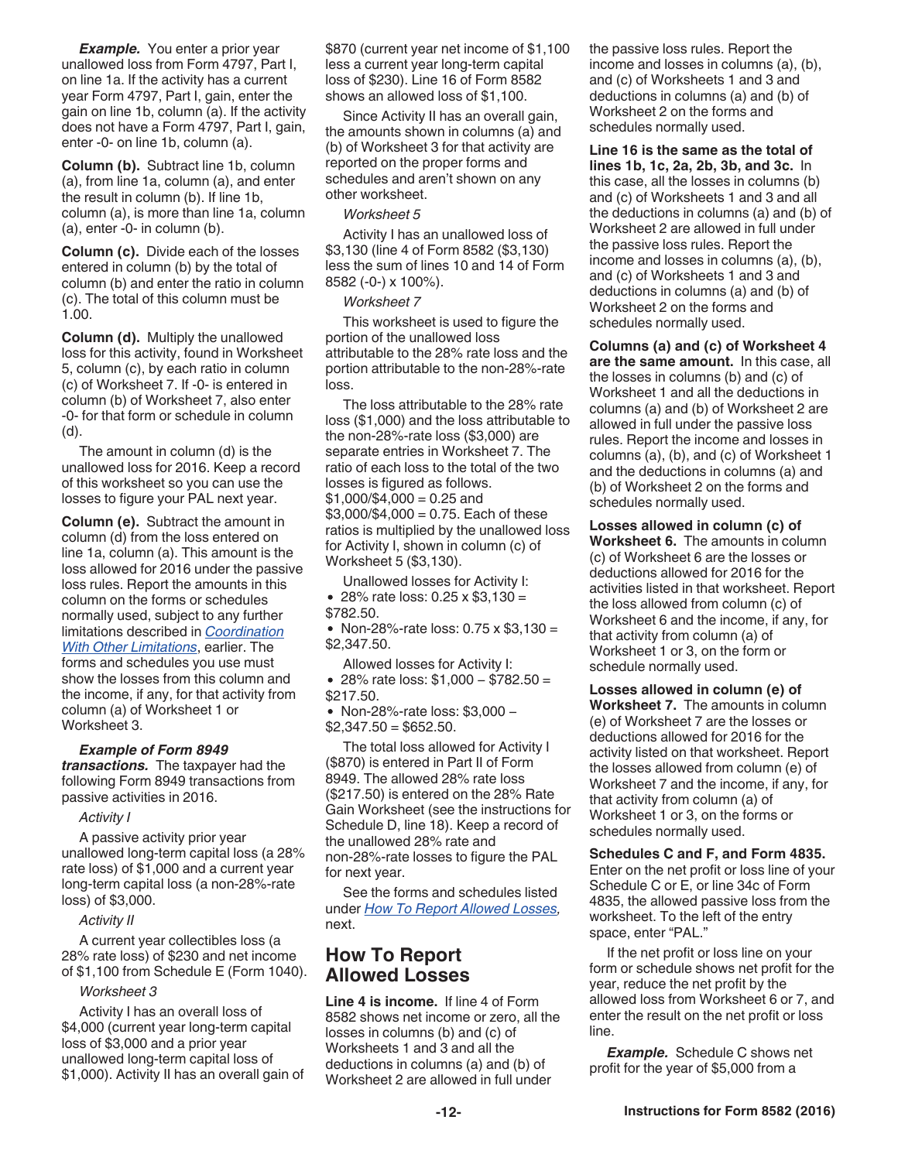<span id="page-11-0"></span>*Example.* You enter a prior year unallowed loss from Form 4797, Part I, on line 1a. If the activity has a current year Form 4797, Part I, gain, enter the gain on line 1b, column (a). If the activity does not have a Form 4797, Part I, gain, enter -0- on line 1b, column (a).

**Column (b).** Subtract line 1b, column (a), from line 1a, column (a), and enter the result in column (b). If line 1b, column (a), is more than line 1a, column (a), enter -0- in column (b).

**Column (c).** Divide each of the losses entered in column (b) by the total of column (b) and enter the ratio in column (c). The total of this column must be 1.00.

**Column (d).** Multiply the unallowed loss for this activity, found in Worksheet 5, column (c), by each ratio in column (c) of Worksheet 7. If -0- is entered in column (b) of Worksheet 7, also enter -0- for that form or schedule in column (d).

The amount in column (d) is the unallowed loss for 2016. Keep a record of this worksheet so you can use the losses to figure your PAL next year.

**Column (e).** Subtract the amount in column (d) from the loss entered on line 1a, column (a). This amount is the loss allowed for 2016 under the passive loss rules. Report the amounts in this column on the forms or schedules normally used, subject to any further limitations described in *[Coordination](#page-0-0)  [With Other Limitations](#page-0-0)*, earlier. The forms and schedules you use must show the losses from this column and the income, if any, for that activity from column (a) of Worksheet 1 or Worksheet 3.

#### *Example of Form 8949*

*transactions.* The taxpayer had the following Form 8949 transactions from passive activities in 2016.

#### *Activity I*

A passive activity prior year unallowed long-term capital loss (a 28% rate loss) of \$1,000 and a current year long-term capital loss (a non-28%-rate loss) of \$3,000.

#### *Activity II*

A current year collectibles loss (a 28% rate loss) of \$230 and net income of \$1,100 from Schedule E (Form 1040).

#### *Worksheet 3*

Activity I has an overall loss of \$4,000 (current year long-term capital loss of \$3,000 and a prior year unallowed long-term capital loss of \$1,000). Activity II has an overall gain of \$870 (current year net income of \$1,100 less a current year long-term capital loss of \$230). Line 16 of Form 8582 shows an allowed loss of \$1,100.

Since Activity II has an overall gain, the amounts shown in columns (a) and (b) of Worksheet 3 for that activity are reported on the proper forms and schedules and aren't shown on any other worksheet.

#### *Worksheet 5*

Activity I has an unallowed loss of \$3,130 (line 4 of Form 8582 (\$3,130) less the sum of lines 10 and 14 of Form 8582 (-0-) x 100%).

#### *Worksheet 7*

This worksheet is used to figure the portion of the unallowed loss attributable to the 28% rate loss and the portion attributable to the non-28%-rate loss.

The loss attributable to the 28% rate loss (\$1,000) and the loss attributable to the non-28%-rate loss (\$3,000) are separate entries in Worksheet 7. The ratio of each loss to the total of the two losses is figured as follows.  $$1,000/\$4,000 = 0.25$  and  $$3,000/$4,000 = 0.75$ . Each of these ratios is multiplied by the unallowed loss for Activity I, shown in column (c) of Worksheet 5 (\$3,130).

Unallowed losses for Activity I: • 28% rate loss:  $0.25 \times $3,130 =$ \$782.50.

• Non-28%-rate loss:  $0.75 \times $3,130 =$ \$2,347.50.

Allowed losses for Activity I: 28% rate loss: \$1,000 − \$782.50 = \$217.50.

Non-28%-rate loss: \$3,000 −  $$2,347.50 = $652.50.$ 

The total loss allowed for Activity I (\$870) is entered in Part II of Form 8949. The allowed 28% rate loss (\$217.50) is entered on the 28% Rate Gain Worksheet (see the instructions for Schedule D, line 18). Keep a record of the unallowed 28% rate and non-28%-rate losses to figure the PAL for next year.

See the forms and schedules listed under *How To Report Allowed Losses,*  next.

## **How To Report Allowed Losses**

**Line 4 is income.** If line 4 of Form 8582 shows net income or zero, all the losses in columns (b) and (c) of Worksheets 1 and 3 and all the deductions in columns (a) and (b) of Worksheet 2 are allowed in full under

the passive loss rules. Report the income and losses in columns (a), (b), and (c) of Worksheets 1 and 3 and deductions in columns (a) and (b) of Worksheet 2 on the forms and schedules normally used.

**Line 16 is the same as the total of lines 1b, 1c, 2a, 2b, 3b, and 3c.** In this case, all the losses in columns (b) and (c) of Worksheets 1 and 3 and all the deductions in columns (a) and (b) of Worksheet 2 are allowed in full under the passive loss rules. Report the income and losses in columns (a), (b), and (c) of Worksheets 1 and 3 and deductions in columns (a) and (b) of Worksheet 2 on the forms and schedules normally used.

**Columns (a) and (c) of Worksheet 4 are the same amount.** In this case, all the losses in columns (b) and (c) of Worksheet 1 and all the deductions in columns (a) and (b) of Worksheet 2 are allowed in full under the passive loss rules. Report the income and losses in columns (a), (b), and (c) of Worksheet 1 and the deductions in columns (a) and (b) of Worksheet 2 on the forms and schedules normally used.

**Losses allowed in column (c) of Worksheet 6.** The amounts in column (c) of Worksheet 6 are the losses or deductions allowed for 2016 for the activities listed in that worksheet. Report the loss allowed from column (c) of Worksheet 6 and the income, if any, for that activity from column (a) of Worksheet 1 or 3, on the form or schedule normally used.

**Losses allowed in column (e) of Worksheet 7.** The amounts in column (e) of Worksheet 7 are the losses or deductions allowed for 2016 for the activity listed on that worksheet. Report the losses allowed from column (e) of Worksheet 7 and the income, if any, for that activity from column (a) of Worksheet 1 or 3, on the forms or schedules normally used.

**Schedules C and F, and Form 4835.**  Enter on the net profit or loss line of your Schedule C or E, or line 34c of Form 4835, the allowed passive loss from the worksheet. To the left of the entry space, enter "PAL."

If the net profit or loss line on your form or schedule shows net profit for the year, reduce the net profit by the allowed loss from Worksheet 6 or 7, and enter the result on the net profit or loss line.

*Example.* Schedule C shows net profit for the year of \$5,000 from a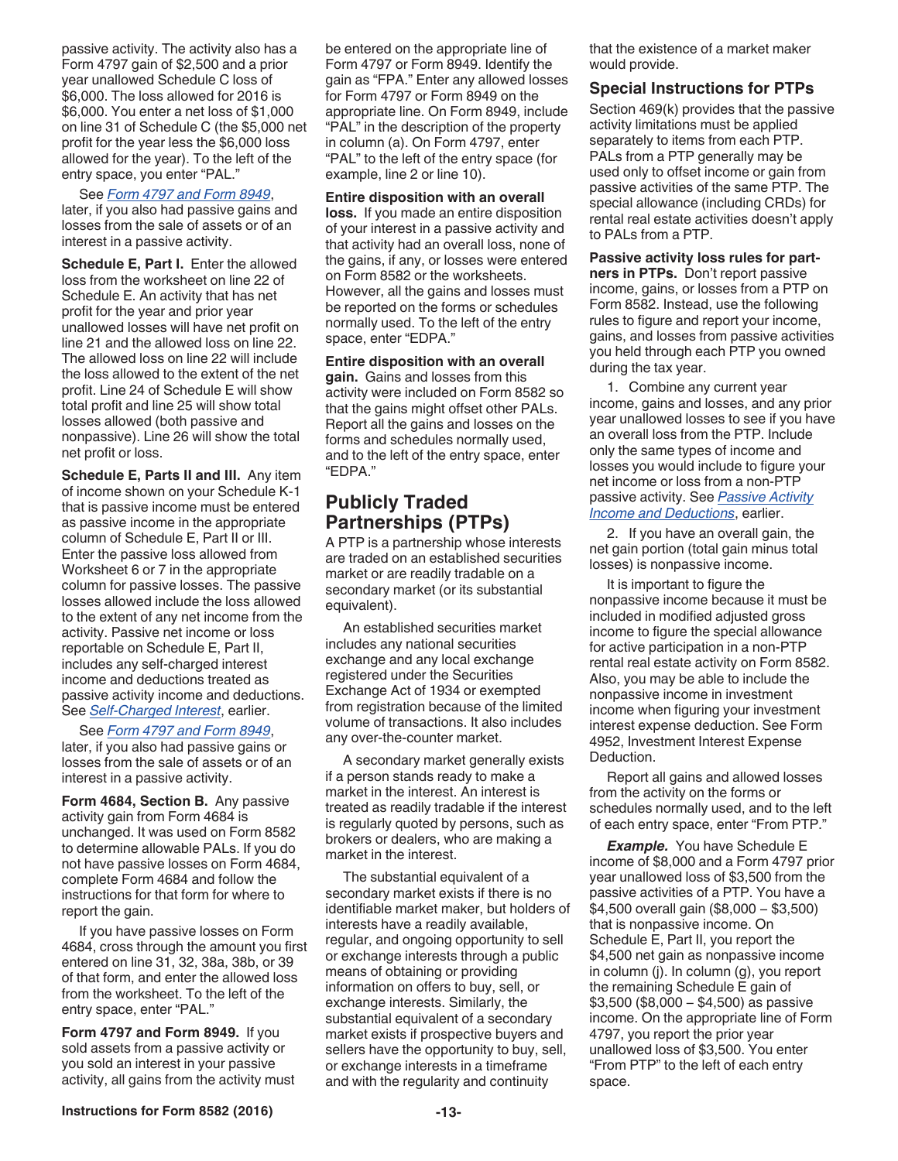<span id="page-12-0"></span>passive activity. The activity also has a Form 4797 gain of \$2,500 and a prior year unallowed Schedule C loss of \$6,000. The loss allowed for 2016 is \$6,000. You enter a net loss of \$1,000 on line 31 of Schedule C (the \$5,000 net profit for the year less the \$6,000 loss allowed for the year). To the left of the entry space, you enter "PAL."

#### See *Form 4797 and Form 8949*,

later, if you also had passive gains and losses from the sale of assets or of an interest in a passive activity.

**Schedule E, Part I.** Enter the allowed loss from the worksheet on line 22 of Schedule E. An activity that has net profit for the year and prior year unallowed losses will have net profit on line 21 and the allowed loss on line 22. The allowed loss on line 22 will include the loss allowed to the extent of the net profit. Line 24 of Schedule E will show total profit and line 25 will show total losses allowed (both passive and nonpassive). Line 26 will show the total net profit or loss.

**Schedule E, Parts II and III.** Any item of income shown on your Schedule K-1 that is passive income must be entered as passive income in the appropriate column of Schedule E, Part II or III. Enter the passive loss allowed from Worksheet 6 or 7 in the appropriate column for passive losses. The passive losses allowed include the loss allowed to the extent of any net income from the activity. Passive net income or loss reportable on Schedule E, Part II, includes any self-charged interest income and deductions treated as passive activity income and deductions. See *[Self-Charged Interest](#page-6-0)*, earlier.

See *Form 4797 and Form 8949*, later, if you also had passive gains or losses from the sale of assets or of an interest in a passive activity.

**Form 4684, Section B.** Any passive activity gain from Form 4684 is unchanged. It was used on Form 8582 to determine allowable PALs. If you do not have passive losses on Form 4684, complete Form 4684 and follow the instructions for that form for where to report the gain.

If you have passive losses on Form 4684, cross through the amount you first entered on line 31, 32, 38a, 38b, or 39 of that form, and enter the allowed loss from the worksheet. To the left of the entry space, enter "PAL."

**Form 4797 and Form 8949.** If you sold assets from a passive activity or you sold an interest in your passive activity, all gains from the activity must be entered on the appropriate line of Form 4797 or Form 8949. Identify the gain as "FPA." Enter any allowed losses for Form 4797 or Form 8949 on the appropriate line. On Form 8949, include "PAL" in the description of the property in column (a). On Form 4797, enter "PAL" to the left of the entry space (for example, line 2 or line 10).

#### **Entire disposition with an overall**

**loss.** If you made an entire disposition of your interest in a passive activity and that activity had an overall loss, none of the gains, if any, or losses were entered on Form 8582 or the worksheets. However, all the gains and losses must be reported on the forms or schedules normally used. To the left of the entry space, enter "EDPA."

**Entire disposition with an overall gain.** Gains and losses from this activity were included on Form 8582 so that the gains might offset other PALs. Report all the gains and losses on the forms and schedules normally used, and to the left of the entry space, enter "EDPA."

## **Publicly Traded Partnerships (PTPs)**

A PTP is a partnership whose interests are traded on an established securities market or are readily tradable on a secondary market (or its substantial equivalent).

An established securities market includes any national securities exchange and any local exchange registered under the Securities Exchange Act of 1934 or exempted from registration because of the limited volume of transactions. It also includes any over-the-counter market.

A secondary market generally exists if a person stands ready to make a market in the interest. An interest is treated as readily tradable if the interest is regularly quoted by persons, such as brokers or dealers, who are making a market in the interest.

The substantial equivalent of a secondary market exists if there is no identifiable market maker, but holders of interests have a readily available, regular, and ongoing opportunity to sell or exchange interests through a public means of obtaining or providing information on offers to buy, sell, or exchange interests. Similarly, the substantial equivalent of a secondary market exists if prospective buyers and sellers have the opportunity to buy, sell, or exchange interests in a timeframe and with the regularity and continuity

that the existence of a market maker would provide.

#### **Special Instructions for PTPs**

Section 469(k) provides that the passive activity limitations must be applied separately to items from each PTP. PALs from a PTP generally may be used only to offset income or gain from passive activities of the same PTP. The special allowance (including CRDs) for rental real estate activities doesn't apply to PALs from a PTP.

**Passive activity loss rules for partners in PTPs.** Don't report passive income, gains, or losses from a PTP on Form 8582. Instead, use the following rules to figure and report your income, gains, and losses from passive activities you held through each PTP you owned during the tax year.

1. Combine any current year income, gains and losses, and any prior year unallowed losses to see if you have an overall loss from the PTP. Include only the same types of income and losses you would include to figure your net income or loss from a non-PTP passive activity. See *[Passive Activity](#page-5-0)  [Income and Deductions](#page-5-0)*, earlier.

2. If you have an overall gain, the net gain portion (total gain minus total losses) is nonpassive income.

It is important to figure the nonpassive income because it must be included in modified adjusted gross income to figure the special allowance for active participation in a non-PTP rental real estate activity on Form 8582. Also, you may be able to include the nonpassive income in investment income when figuring your investment interest expense deduction. See Form 4952, Investment Interest Expense Deduction.

Report all gains and allowed losses from the activity on the forms or schedules normally used, and to the left of each entry space, enter "From PTP."

*Example.* You have Schedule E income of \$8,000 and a Form 4797 prior year unallowed loss of \$3,500 from the passive activities of a PTP. You have a \$4,500 overall gain (\$8,000 − \$3,500) that is nonpassive income. On Schedule E, Part II, you report the \$4,500 net gain as nonpassive income in column (j). In column (g), you report the remaining Schedule E gain of \$3,500 (\$8,000 − \$4,500) as passive income. On the appropriate line of Form 4797, you report the prior year unallowed loss of \$3,500. You enter "From PTP" to the left of each entry space.